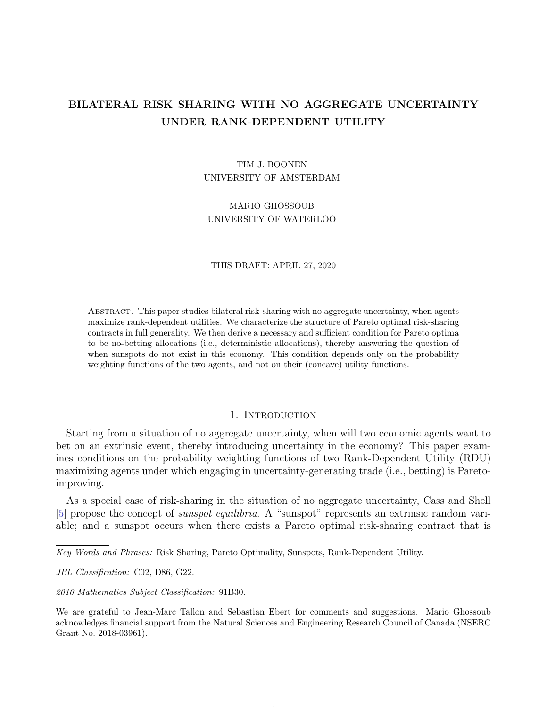# BILATERAL RISK SHARING WITH NO AGGREGATE UNCERTAINTY UNDER RANK-DEPENDENT UTILITY

# TIM J. BOONEN UNIVERSITY OF AMSTERDAM

MARIO GHOSSOUB UNIVERSITY OF WATERLOO

#### THIS DRAFT: APRIL 27, 2020

Abstract. This paper studies bilateral risk-sharing with no aggregate uncertainty, when agents maximize rank-dependent utilities. We characterize the structure of Pareto optimal risk-sharing contracts in full generality. We then derive a necessary and sufficient condition for Pareto optima to be no-betting allocations (i.e., deterministic allocations), thereby answering the question of when sunspots do not exist in this economy. This condition depends only on the probability weighting functions of the two agents, and not on their (concave) utility functions.

# 1. INTRODUCTION

Starting from a situation of no aggregate uncertainty, when will two economic agents want to bet on an extrinsic event, thereby introducing uncertainty in the economy? This paper examines conditions on the probability weighting functions of two Rank-Dependent Utility (RDU) maximizing agents under which engaging in uncertainty-generating trade (i.e., betting) is Paretoimproving.

As a special case of risk-sharing in the situation of no aggregate uncertainty, Cass and Shell [\[5\]](#page-24-0) propose the concept of sunspot equilibria. A "sunspot" represents an extrinsic random variable; and a sunspot occurs when there exists a Pareto optimal risk-sharing contract that is

*Key Words and Phrases:* Risk Sharing, Pareto Optimality, Sunspots, Rank-Dependent Utility.

*JEL Classification:* C02, D86, G22.

*2010 Mathematics Subject Classification:* 91B30.

We are grateful to Jean-Marc Tallon and Sebastian Ebert for comments and suggestions. Mario Ghossoub acknowledges financial support from the Natural Sciences and Engineering Research Council of Canada (NSERC Grant No. 2018-03961).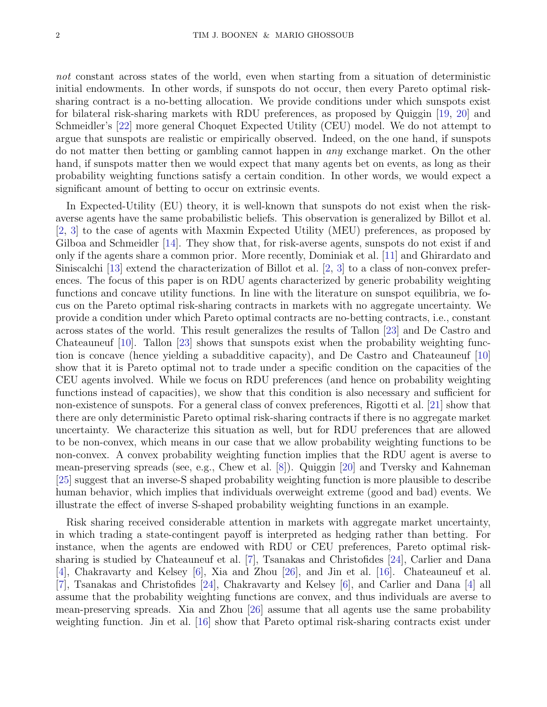not constant across states of the world, even when starting from a situation of deterministic initial endowments. In other words, if sunspots do not occur, then every Pareto optimal risksharing contract is a no-betting allocation. We provide conditions under which sunspots exist for bilateral risk-sharing markets with RDU preferences, as proposed by Quiggin [\[19,](#page-25-0) [20\]](#page-25-1) and Schmeidler's [\[22\]](#page-25-2) more general Choquet Expected Utility (CEU) model. We do not attempt to argue that sunspots are realistic or empirically observed. Indeed, on the one hand, if sunspots do not matter then betting or gambling cannot happen in any exchange market. On the other hand, if sunspots matter then we would expect that many agents bet on events, as long as their probability weighting functions satisfy a certain condition. In other words, we would expect a significant amount of betting to occur on extrinsic events.

In Expected-Utility (EU) theory, it is well-known that sunspots do not exist when the riskaverse agents have the same probabilistic beliefs. This observation is generalized by Billot et al. [\[2,](#page-24-1) [3\]](#page-24-2) to the case of agents with Maxmin Expected Utility (MEU) preferences, as proposed by Gilboa and Schmeidler [\[14\]](#page-24-3). They show that, for risk-averse agents, sunspots do not exist if and only if the agents share a common prior. More recently, Dominiak et al. [\[11\]](#page-24-4) and Ghirardato and Siniscalchi [\[13\]](#page-24-5) extend the characterization of Billot et al. [\[2,](#page-24-1) [3\]](#page-24-2) to a class of non-convex preferences. The focus of this paper is on RDU agents characterized by generic probability weighting functions and concave utility functions. In line with the literature on sunspot equilibria, we focus on the Pareto optimal risk-sharing contracts in markets with no aggregate uncertainty. We provide a condition under which Pareto optimal contracts are no-betting contracts, i.e., constant across states of the world. This result generalizes the results of Tallon [\[23\]](#page-25-3) and De Castro and Chateauneuf [\[10\]](#page-24-6). Tallon [\[23\]](#page-25-3) shows that sunspots exist when the probability weighting function is concave (hence yielding a subadditive capacity), and De Castro and Chateauneuf [\[10\]](#page-24-6) show that it is Pareto optimal not to trade under a specific condition on the capacities of the CEU agents involved. While we focus on RDU preferences (and hence on probability weighting functions instead of capacities), we show that this condition is also necessary and sufficient for non-existence of sunspots. For a general class of convex preferences, Rigotti et al. [\[21\]](#page-25-4) show that there are only deterministic Pareto optimal risk-sharing contracts if there is no aggregate market uncertainty. We characterize this situation as well, but for RDU preferences that are allowed to be non-convex, which means in our case that we allow probability weighting functions to be non-convex. A convex probability weighting function implies that the RDU agent is averse to mean-preserving spreads (see, e.g., Chew et al. [\[8\]](#page-24-7)). Quiggin [\[20\]](#page-25-1) and Tversky and Kahneman [\[25\]](#page-25-5) suggest that an inverse-S shaped probability weighting function is more plausible to describe human behavior, which implies that individuals overweight extreme (good and bad) events. We illustrate the effect of inverse S-shaped probability weighting functions in an example.

Risk sharing received considerable attention in markets with aggregate market uncertainty, in which trading a state-contingent payoff is interpreted as hedging rather than betting. For instance, when the agents are endowed with RDU or CEU preferences, Pareto optimal risksharing is studied by Chateauneuf et al. [\[7\]](#page-24-8), Tsanakas and Christofides [\[24\]](#page-25-6), Carlier and Dana [\[4\]](#page-24-9), Chakravarty and Kelsey [\[6\]](#page-24-10), Xia and Zhou [\[26\]](#page-25-7), and Jin et al. [\[16\]](#page-25-8). Chateauneuf et al. [\[7\]](#page-24-8), Tsanakas and Christofides [\[24\]](#page-25-6), Chakravarty and Kelsey [\[6\]](#page-24-10), and Carlier and Dana [\[4\]](#page-24-9) all assume that the probability weighting functions are convex, and thus individuals are averse to mean-preserving spreads. Xia and Zhou [\[26\]](#page-25-7) assume that all agents use the same probability weighting function. Jin et al. [\[16\]](#page-25-8) show that Pareto optimal risk-sharing contracts exist under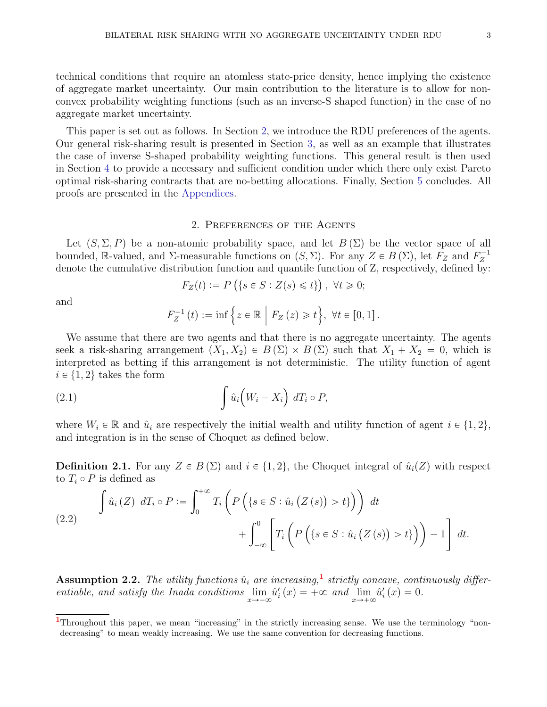technical conditions that require an atomless state-price density, hence implying the existence of aggregate market uncertainty. Our main contribution to the literature is to allow for nonconvex probability weighting functions (such as an inverse-S shaped function) in the case of no aggregate market uncertainty.

This paper is set out as follows. In Section [2,](#page-2-0) we introduce the RDU preferences of the agents. Our general risk-sharing result is presented in Section [3,](#page-3-0) as well as an example that illustrates the case of inverse S-shaped probability weighting functions. This general result is then used in Section [4](#page-7-0) to provide a necessary and sufficient condition under which there only exist Pareto optimal risk-sharing contracts that are no-betting allocations. Finally, Section [5](#page-9-0) concludes. All proofs are presented in the [Appendices.](#page-10-0)

#### 2. Preferences of the Agents

<span id="page-2-0"></span>Let  $(S, \Sigma, P)$  be a non-atomic probability space, and let  $B(\Sigma)$  be the vector space of all bounded, R-valued, and  $\Sigma$ -measurable functions on  $(S, \Sigma)$ . For any  $Z \in B(\Sigma)$ , let  $F_Z$  and  $F_Z^{-1}$ Z denote the cumulative distribution function and quantile function of Z, respectively, defined by:

$$
F_Z(t) := P\left(\{s \in S : Z(s) \leq t\}\right), \ \forall t \geq 0;
$$

and

$$
F_Z^{-1}(t) := \inf \left\{ z \in \mathbb{R} \mid F_Z(z) \geq t \right\}, \ \forall t \in [0,1].
$$

We assume that there are two agents and that there is no aggregate uncertainty. The agents seek a risk-sharing arrangement  $(X_1, X_2) \in B(\Sigma) \times B(\Sigma)$  such that  $X_1 + X_2 = 0$ , which is interpreted as betting if this arrangement is not deterministic. The utility function of agent  $i \in \{1, 2\}$  takes the form

(2.1) 
$$
\int \hat{u}_i \bigg(W_i - X_i\bigg) dT_i \circ P,
$$

where  $W_i \in \mathbb{R}$  and  $\hat{u}_i$  are respectively the initial wealth and utility function of agent  $i \in \{1, 2\}$ , and integration is in the sense of Choquet as defined below.

**Definition 2.1.** For any  $Z \in B(\Sigma)$  and  $i \in \{1, 2\}$ , the Choquet integral of  $\hat{u}_i(Z)$  with respect to  $T_i \circ P$  is defined as

$$
\begin{aligned}\n\int \hat{u}_i(Z) \, dT_i \circ P &:= \int_0^{+\infty} T_i \left( P\left( \{ s \in S : \hat{u}_i\left( Z\left( s \right) \right) > t \} \right) \right) \, dt \\
&\quad + \int_{-\infty}^0 \left[ T_i \left( P\left( \{ s \in S : \hat{u}_i\left( Z\left( s \right) \right) > t \} \right) \right) - 1 \right] \, dt.\n\end{aligned}
$$

<span id="page-2-2"></span>**Assumption 2.2.** The utility functions  $\hat{u}_i$  are increasing,<sup>[1](#page-2-1)</sup> strictly concave, continuously differentiable, and satisfy the Inada conditions  $\lim_{x\to-\infty} \hat{u}'_i(x) = +\infty$  and  $\lim_{x\to+\infty} \hat{u}'_i(x) = 0$ .

<span id="page-2-1"></span><sup>&</sup>lt;sup>1</sup>Throughout this paper, we mean "increasing" in the strictly increasing sense. We use the terminology "nondecreasing" to mean weakly increasing. We use the same convention for decreasing functions.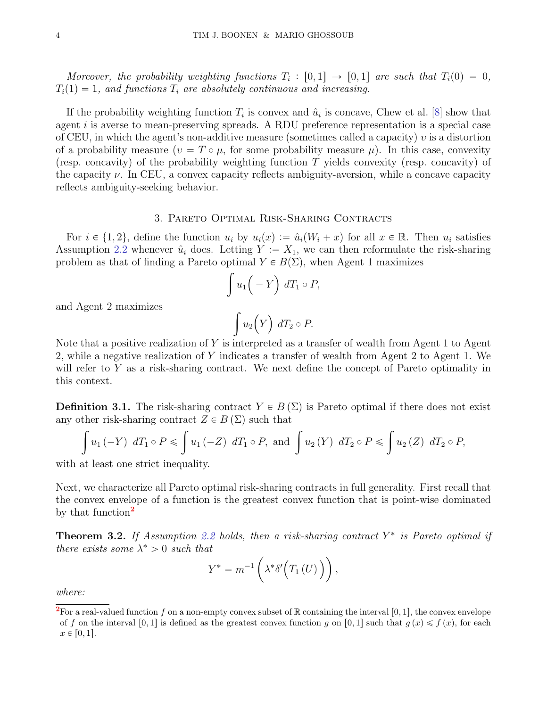Moreover, the probability weighting functions  $T_i : [0,1] \rightarrow [0,1]$  are such that  $T_i(0) = 0$ ,  $T_i(1) = 1$ , and functions  $T_i$  are absolutely continuous and increasing.

If the probability weighting function  $T_i$  is convex and  $\hat{u}_i$  is concave, Chew et al. [\[8\]](#page-24-7) show that agent  $i$  is averse to mean-preserving spreads. A RDU preference representation is a special case of CEU, in which the agent's non-additive measure (sometimes called a capacity)  $v$  is a distortion of a probability measure  $(v = T \circ \mu)$ , for some probability measure  $\mu$ ). In this case, convexity (resp. concavity) of the probability weighting function  $T$  yields convexity (resp. concavity) of the capacity  $\nu$ . In CEU, a convex capacity reflects ambiguity-aversion, while a concave capacity reflects ambiguity-seeking behavior.

### 3. Pareto Optimal Risk-Sharing Contracts

<span id="page-3-0"></span>For  $i \in \{1, 2\}$ , define the function  $u_i$  by  $u_i(x) := \hat{u}_i(W_i + x)$  for all  $x \in \mathbb{R}$ . Then  $u_i$  satisfies Assumption [2.2](#page-2-2) whenever  $\hat{u}_i$  does. Letting  $Y := X_1$ , we can then reformulate the risk-sharing problem as that of finding a Pareto optimal  $Y \in B(\Sigma)$ , when Agent 1 maximizes

$$
\int u_1\bigg(-Y\bigg)\ dT_1\circ P,
$$

and Agent 2 maximizes

$$
\int u_2(Y) dT_2 \circ P.
$$

Note that a positive realization of Y is interpreted as a transfer of wealth from Agent 1 to Agent 2, while a negative realization of Y indicates a transfer of wealth from Agent 2 to Agent 1. We will refer to Y as a risk-sharing contract. We next define the concept of Pareto optimality in this context.

**Definition 3.1.** The risk-sharing contract  $Y \in B(\Sigma)$  is Pareto optimal if there does not exist any other risk-sharing contract  $Z \in B(\Sigma)$  such that

$$
\int u_1 (-Y) dT_1 \circ P \leq \int u_1 (-Z) dT_1 \circ P, \text{ and } \int u_2 (Y) dT_2 \circ P \leq \int u_2 (Z) dT_2 \circ P,
$$

with at least one strict inequality.

Next, we characterize all Pareto optimal risk-sharing contracts in full generality. First recall that the convex envelope of a function is the greatest convex function that is point-wise dominated by that function<sup>[2](#page-3-1)</sup>

<span id="page-3-2"></span>**Theorem 3.2.** If Assumption [2.2](#page-2-2) holds, then a risk-sharing contract  $Y^*$  is Pareto optimal if there exists some  $\lambda^* > 0$  such that

$$
Y^* = m^{-1}\left(\lambda^*\delta'\Big(T_1\left(U\right)\Big)\right),\,
$$

where:

<span id="page-3-1"></span><sup>&</sup>lt;sup>2</sup>For a real-valued function f on a non-empty convex subset of R containing the interval [0, 1], the convex envelope of f on the interval [0, 1] is defined as the greatest convex function g on [0, 1] such that  $g(x) \leq f(x)$ , for each  $x \in [0, 1].$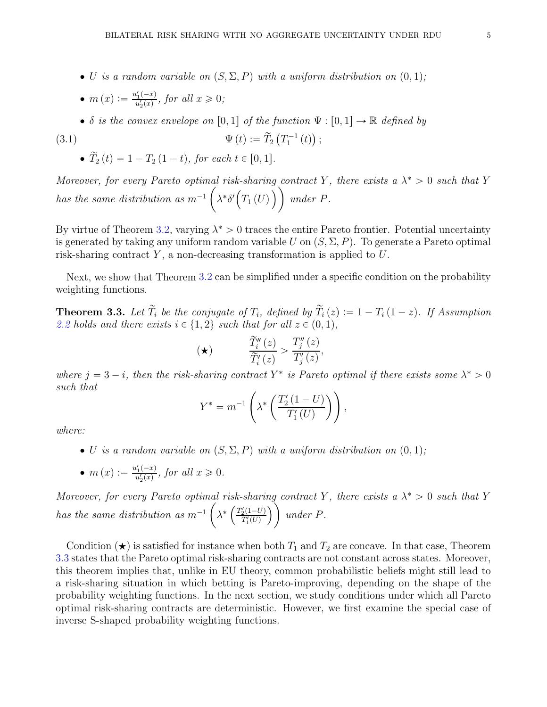- U is a random variable on  $(S, \Sigma, P)$  with a uniform distribution on  $(0, 1)$ ;
- $m(x) := \frac{u'_1(-x)}{u'_x(x)}$  $\frac{u_1(-x)}{u_2'(x)}$ , for all  $x \geqslant 0$ ;
- δ is the convex envelope on [0, 1] of the function  $\Psi : [0, 1] \to \mathbb{R}$  defined by

(3.1) 
$$
\Psi(t) := \widetilde{T}_2(T_1^{-1}(t));
$$

<span id="page-4-1"></span> $\widetilde{T}_2 (t) = 1 - T_2 (1 - t)$ , for each  $t \in [0, 1]$ .

Moreover, for every Pareto optimal risk-sharing contract Y, there exists a  $\lambda^* > 0$  such that Y has the same distribution as  $m^{-1}$  $\sqrt{2}$  $\lambda^* \delta' \big( T_1(U) \big)$  under P.

By virtue of Theorem [3.2,](#page-3-2) varying  $\lambda^* > 0$  traces the entire Pareto frontier. Potential uncertainty is generated by taking any uniform random variable U on  $(S, \Sigma, P)$ . To generate a Pareto optimal risk-sharing contract  $Y$ , a non-decreasing transformation is applied to  $U$ .

Next, we show that Theorem [3.2](#page-3-2) can be simplified under a specific condition on the probability weighting functions.

<span id="page-4-0"></span>**Theorem 3.3.** Let  $T_i$  be the conjugate of  $T_i$ , defined by  $T_i(z) := 1 - T_i(1-z)$ . If Assumption [2.2](#page-2-2) holds and there exists  $i \in \{1, 2\}$  such that for all  $z \in (0, 1)$ ,

$$
(\star) \qquad \qquad \frac{\widetilde{T}_i''(z)}{\widetilde{T}_i'(z)} > \frac{T_j''(z)}{T_j'(z)},
$$

where  $j = 3 - i$ , then the risk-sharing contract Y<sup>\*</sup> is Pareto optimal if there exists some  $\lambda^* > 0$ such that

$$
Y^* = m^{-1} \left( \lambda^* \left( \frac{T_2'(1-U)}{T_1'(U)} \right) \right),
$$

where:

- U is a random variable on  $(S, \Sigma, P)$  with a uniform distribution on  $(0, 1);$
- $m(x) := \frac{u'_1(-x)}{u'_x(x)}$  $\frac{u_1(-x)}{u_2'(x)}$ , for all  $x \geqslant 0$ .

Moreover, for every Pareto optimal risk-sharing contract Y, there exists a  $\lambda^* > 0$  such that Y has the same distribution as  $m^{-1}$  $\sqrt{2}$  $\lambda^* \left( \frac{T_2'(1-U)}{T'(U)} \right)$  $\overline{T'_1(U)}$  $\bigcap$  under P.

Condition  $(\star)$  is satisfied for instance when both  $T_1$  and  $T_2$  are concave. In that case, Theorem [3.3](#page-4-0) states that the Pareto optimal risk-sharing contracts are not constant across states. Moreover, this theorem implies that, unlike in EU theory, common probabilistic beliefs might still lead to a risk-sharing situation in which betting is Pareto-improving, depending on the shape of the probability weighting functions. In the next section, we study conditions under which all Pareto optimal risk-sharing contracts are deterministic. However, we first examine the special case of inverse S-shaped probability weighting functions.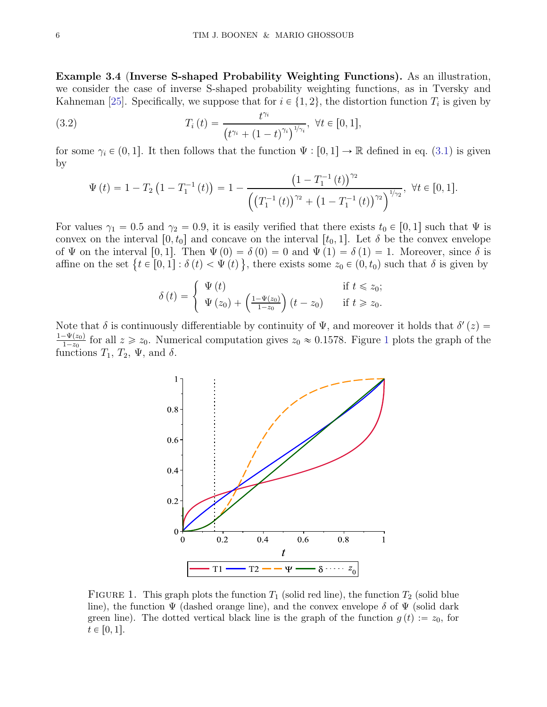<span id="page-5-1"></span>Example 3.4 (Inverse S-shaped Probability Weighting Functions). As an illustration, we consider the case of inverse S-shaped probability weighting functions, as in Tversky and Kahneman [\[25\]](#page-25-5). Specifically, we suppose that for  $i \in \{1, 2\}$ , the distortion function  $T_i$  is given by

(3.2) 
$$
T_i(t) = \frac{t^{\gamma_i}}{(t^{\gamma_i} + (1-t)^{\gamma_i})^{1/\gamma_i}}, \ \forall t \in [0,1],
$$

for some  $\gamma_i \in (0, 1]$ . It then follows that the function  $\Psi : [0, 1] \to \mathbb{R}$  defined in eq. [\(3.1\)](#page-4-1) is given by

$$
\Psi(t) = 1 - T_2 \left( 1 - T_1^{-1}(t) \right) = 1 - \frac{\left( 1 - T_1^{-1}(t) \right)^{\gamma_2}}{\left( \left( T_1^{-1}(t) \right)^{\gamma_2} + \left( 1 - T_1^{-1}(t) \right)^{\gamma_2} \right)^{\frac{1}{\gamma_2}}}, \ \forall t \in [0, 1].
$$

For values  $\gamma_1 = 0.5$  and  $\gamma_2 = 0.9$ , it is easily verified that there exists  $t_0 \in [0, 1]$  such that  $\Psi$  is convex on the interval  $[0, t_0]$  and concave on the interval  $[t_0, 1]$ . Let  $\delta$  be the convex envelope of  $\Psi$  on the interval [0, 1]. Then  $\Psi(0) = \delta(0) = 0$  and  $\Psi(1) = \delta(1) = 1$ . Moreover, since  $\delta$  is affine on the set  $\{t \in [0,1]: \delta(t) < \Psi(t)\}$ , there exists some  $z_0 \in (0, t_0)$  such that  $\delta$  is given by

$$
\delta(t) = \begin{cases} \Psi(t) & \text{if } t \leq z_0; \\ \Psi(z_0) + \left(\frac{1-\Psi(z_0)}{1-z_0}\right)(t-z_0) & \text{if } t \geq z_0. \end{cases}
$$

<span id="page-5-0"></span>Note that  $\delta$  is continuously differentiable by continuity of  $\Psi$ , and moreover it holds that  $\delta'(z)$  $1-\Psi(z_0)$  $\frac{-\Psi(z_0)}{1-z_0}$  $\frac{-\Psi(z_0)}{1-z_0}$  $\frac{-\Psi(z_0)}{1-z_0}$  for all  $z \geq z_0$ . Numerical computation gives  $z_0 \approx 0.1578$ . Figure 1 plots the graph of the functions  $T_1$ ,  $T_2$ ,  $\Psi$ , and  $\delta$ .



FIGURE 1. This graph plots the function  $T_1$  (solid red line), the function  $T_2$  (solid blue line), the function  $\Psi$  (dashed orange line), and the convex envelope  $\delta$  of  $\Psi$  (solid dark green line). The dotted vertical black line is the graph of the function  $g(t) := z_0$ , for  $t \in [0, 1].$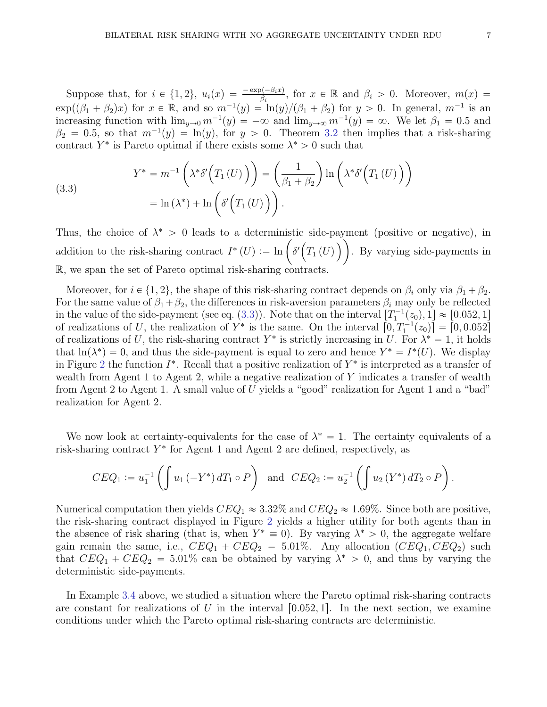Suppose that, for  $i \in \{1, 2\}$ ,  $u_i(x) = \frac{-\exp(-\beta_i x)}{\beta_i}$ , for  $x \in \mathbb{R}$  and  $\beta_i > 0$ . Moreover,  $m(x) =$  $\exp((\beta_1 + \beta_2)x)$  for  $x \in \mathbb{R}$ , and so  $m^{-1}(y) = \ln(y)/(\beta_1 + \beta_2)$  for  $y > 0$ . In general,  $m^{-1}$  is an increasing function with  $\lim_{y\to 0} m^{-1}(y) = -\infty$  and  $\lim_{y\to \infty} m^{-1}(y) = \infty$ . We let  $\beta_1 = 0.5$  and  $\beta_2 = 0.5$ , so that  $m^{-1}(y) = \ln(y)$ , for  $y > 0$ . Theorem [3.2](#page-3-2) then implies that a risk-sharing contract  $Y^*$  is Pareto optimal if there exists some  $\lambda^* > 0$  such that

<span id="page-6-0"></span>(3.3)  

$$
Y^* = m^{-1} \left( \lambda^* \delta' \Big( T_1(U) \Big) \right) = \left( \frac{1}{\beta_1 + \beta_2} \right) \ln \left( \lambda^* \delta' \Big( T_1(U) \Big) \right)
$$

$$
= \ln \left( \lambda^* \right) + \ln \left( \delta' \Big( T_1(U) \Big) \right).
$$

Thus, the choice of  $\lambda^* > 0$  leads to a deterministic side-payment (positive or negative), in addition to the risk-sharing contract  $I^*(U) := \ln \left( \delta' \left( T_1(U) \right) \right)$ . By varying side-payments in R, we span the set of Pareto optimal risk-sharing contracts.

Moreover, for  $i \in \{1, 2\}$ , the shape of this risk-sharing contract depends on  $\beta_i$  only via  $\beta_1 + \beta_2$ . For the same value of  $\beta_1 + \beta_2$ , the differences in risk-aversion parameters  $\beta_i$  may only be reflected in the value of the side-payment (see eq. [\(3.3\)](#page-6-0)). Note that on the interval  $[T_1^{-1}(z_0), 1] \approx [0.052, 1]$ of realizations of U, the realization of  $Y^*$  is the same. On the interval  $[0, T_1^{-1}(z_0)] = [0, 0.052]$ of realizations of U, the risk-sharing contract  $Y^*$  is strictly increasing in U. For  $\lambda^* = 1$ , it holds that  $\ln(\lambda^*) = 0$ , and thus the side-payment is equal to zero and hence  $Y^* = I^*(U)$ . We display in Figure [2](#page-7-1) the function  $I^*$ . Recall that a positive realization of  $Y^*$  is interpreted as a transfer of wealth from Agent 1 to Agent 2, while a negative realization of Y indicates a transfer of wealth from Agent 2 to Agent 1. A small value of U yields a "good" realization for Agent 1 and a "bad" realization for Agent 2.

We now look at certainty-equivalents for the case of  $\lambda^* = 1$ . The certainty equivalents of a risk-sharing contract  $Y^*$  for Agent 1 and Agent 2 are defined, respectively, as

$$
CEQ_1 := u_1^{-1}\left(\int u_1\left(-Y^*\right)dT_1 \circ P\right) \text{ and } CEQ_2 := u_2^{-1}\left(\int u_2\left(Y^*\right)dT_2 \circ P\right).
$$

Numerical computation then yields  $CEQ_1 \approx 3.32\%$  and  $CEQ_2 \approx 1.69\%$ . Since both are positive, the risk-sharing contract displayed in Figure [2](#page-7-1) yields a higher utility for both agents than in the absence of risk sharing (that is, when  $Y^* \equiv 0$ ). By varying  $\lambda^* > 0$ , the aggregate welfare gain remain the same, i.e.,  $CEQ_1 + CEQ_2 = 5.01\%$ . Any allocation  $(CEQ_1, CEQ_2)$  such that  $CEQ_1 + CEQ_2 = 5.01\%$  can be obtained by varying  $\lambda^* > 0$ , and thus by varying the deterministic side-payments.

In Example [3.4](#page-5-1) above, we studied a situation where the Pareto optimal risk-sharing contracts are constant for realizations of U in the interval  $[0.052, 1]$ . In the next section, we examine conditions under which the Pareto optimal risk-sharing contracts are deterministic.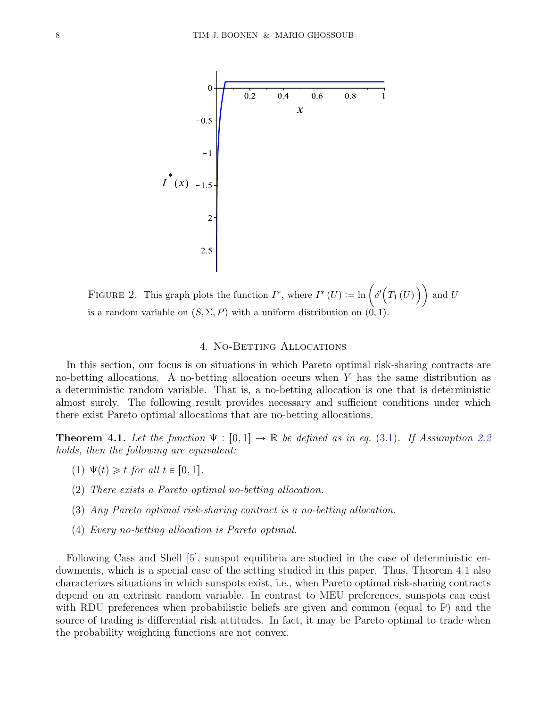<span id="page-7-1"></span>

FIGURE 2. This graph plots the function  $I^*$ , where  $I^*(U) := \ln \left( \delta'(T_1(U)) \right)$  and U is a random variable on  $(S, \Sigma, P)$  with a uniform distribution on  $(0, 1)$ .

#### 4. NO-BETTING ALLOCATIONS

<span id="page-7-0"></span>In this section, our focus is on situations in which Pareto optimal risk-sharing contracts are no-betting allocations. A no-betting allocation occurs when Y has the same distribution as a deterministic random variable. That is, a no-betting allocation is one that is deterministic almost surely. The following result provides necessary and sufficient conditions under which there exist Pareto optimal allocations that are no-betting allocations.

<span id="page-7-2"></span>**Theorem 4.1.** Let the function  $\Psi : [0, 1] \to \mathbb{R}$  be defined as in eq. [\(3.1\)](#page-4-1). If Assumption [2.2](#page-2-2) holds, then the following are equivalent:

- (1)  $\Psi(t) \geq t$  for all  $t \in [0, 1]$ .
- (2) There exists a Pareto optimal no-betting allocation.
- (3) Any Pareto optimal risk-sharing contract is a no-betting allocation.
- (4) Every no-betting allocation is Pareto optimal.

Following Cass and Shell [\[5\]](#page-24-0), sunspot equilibria are studied in the case of deterministic endowments, which is a special case of the setting studied in this paper. Thus, Theorem [4.1](#page-7-2) also characterizes situations in which sunspots exist, i.e., when Pareto optimal risk-sharing contracts depend on an extrinsic random variable. In contrast to MEU preferences, sunspots can exist with RDU preferences when probabilistic beliefs are given and common (equal to  $\mathbb{P}$ ) and the source of trading is differential risk attitudes. In fact, it may be Pareto optimal to trade when the probability weighting functions are not convex.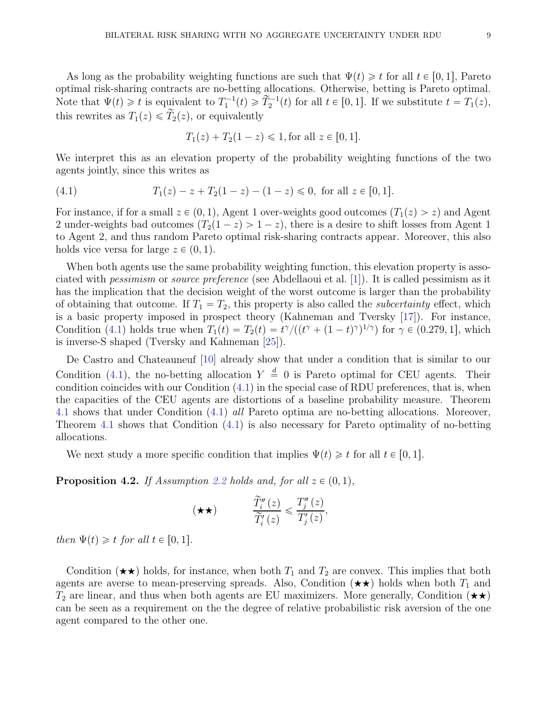As long as the probability weighting functions are such that  $\Psi(t) \geq t$  for all  $t \in [0, 1]$ , Pareto optimal risk-sharing contracts are no-betting allocations. Otherwise, betting is Pareto optimal. Note that  $\Psi(t) \geq t$  is equivalent to  $T_1^{-1}(t) \geq \tilde{T}_2^{-1}(t)$  for all  $t \in [0, 1]$ . If we substitute  $t = T_1(z)$ , this rewrites as  $T_1(z) \leq \tilde{T}_2(z)$ , or equivalently

<span id="page-8-0"></span>
$$
T_1(z) + T_2(1 - z) \leq 1
$$
, for all  $z \in [0, 1]$ .

We interpret this as an elevation property of the probability weighting functions of the two agents jointly, since this writes as

(4.1) 
$$
T_1(z) - z + T_2(1 - z) - (1 - z) \leq 0, \text{ for all } z \in [0, 1].
$$

For instance, if for a small  $z \in (0, 1)$ , Agent 1 over-weights good outcomes  $(T_1(z) > z)$  and Agent 2 under-weights bad outcomes  $(T_2(1-z) > 1-z)$ , there is a desire to shift losses from Agent 1 to Agent 2, and thus random Pareto optimal risk-sharing contracts appear. Moreover, this also holds vice versa for large  $z \in (0, 1)$ .

When both agents use the same probability weighting function, this elevation property is associated with pessimism or source preference (see Abdellaoui et al. [\[1\]](#page-24-11)). It is called pessimism as it has the implication that the decision weight of the worst outcome is larger than the probability of obtaining that outcome. If  $T_1 = T_2$ , this property is also called the *subcertainty* effect, which is a basic property imposed in prospect theory (Kahneman and Tversky [\[17\]](#page-25-9)). For instance, Condition [\(4.1\)](#page-8-0) holds true when  $T_1(t) = T_2(t) = t^{\gamma}/((t^{\gamma} + (1-t)^{\gamma})^{1/\gamma})$  for  $\gamma \in (0.279, 1]$ , which is inverse-S shaped (Tversky and Kahneman [\[25\]](#page-25-5)).

De Castro and Chateauneuf [\[10\]](#page-24-6) already show that under a condition that is similar to our Condition [\(4.1\)](#page-8-0), the no-betting allocation  $Y \stackrel{d}{=} 0$  is Pareto optimal for CEU agents. Their condition coincides with our Condition [\(4.1\)](#page-8-0) in the special case of RDU preferences, that is, when the capacities of the CEU agents are distortions of a baseline probability measure. Theorem [4.1](#page-7-2) shows that under Condition [\(4.1\)](#page-8-0) all Pareto optima are no-betting allocations. Moreover, Theorem [4.1](#page-7-2) shows that Condition [\(4.1\)](#page-8-0) is also necessary for Pareto optimality of no-betting allocations.

We next study a more specific condition that implies  $\Psi(t) \geq t$  for all  $t \in [0, 1]$ .

<span id="page-8-1"></span>**Proposition 4.2.** If Assumption [2.2](#page-2-2) holds and, for all  $z \in (0, 1)$ ,

$$
(\star \star) \qquad \qquad \frac{\widetilde{T}_i''(z)}{\widetilde{T}_i'(z)} \leqslant \frac{T_j''(z)}{T_j'(z)},
$$

then  $\Psi(t) \geq t$  for all  $t \in [0, 1]$ .

Condition  $(\star \star)$  holds, for instance, when both  $T_1$  and  $T_2$  are convex. This implies that both agents are averse to mean-preserving spreads. Also, Condition  $(\star \star)$  holds when both  $T_1$  and  $T_2$  are linear, and thus when both agents are EU maximizers. More generally, Condition  $(\star \star)$ can be seen as a requirement on the the degree of relative probabilistic risk aversion of the one agent compared to the other one.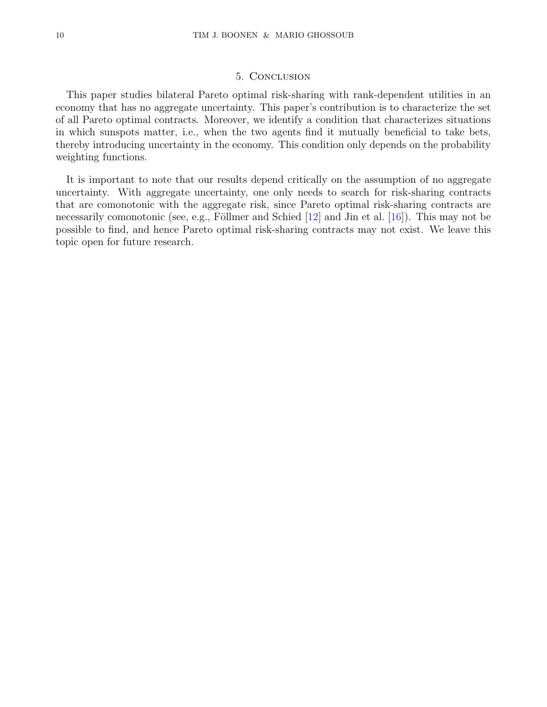## 5. Conclusion

<span id="page-9-0"></span>This paper studies bilateral Pareto optimal risk-sharing with rank-dependent utilities in an economy that has no aggregate uncertainty. This paper's contribution is to characterize the set of all Pareto optimal contracts. Moreover, we identify a condition that characterizes situations in which sunspots matter, i.e., when the two agents find it mutually beneficial to take bets, thereby introducing uncertainty in the economy. This condition only depends on the probability weighting functions.

It is important to note that our results depend critically on the assumption of no aggregate uncertainty. With aggregate uncertainty, one only needs to search for risk-sharing contracts that are comonotonic with the aggregate risk, since Pareto optimal risk-sharing contracts are necessarily comonotonic (see, e.g., Föllmer and Schied  $[12]$  and Jin et al.  $[16]$ ). This may not be possible to find, and hence Pareto optimal risk-sharing contracts may not exist. We leave this topic open for future research.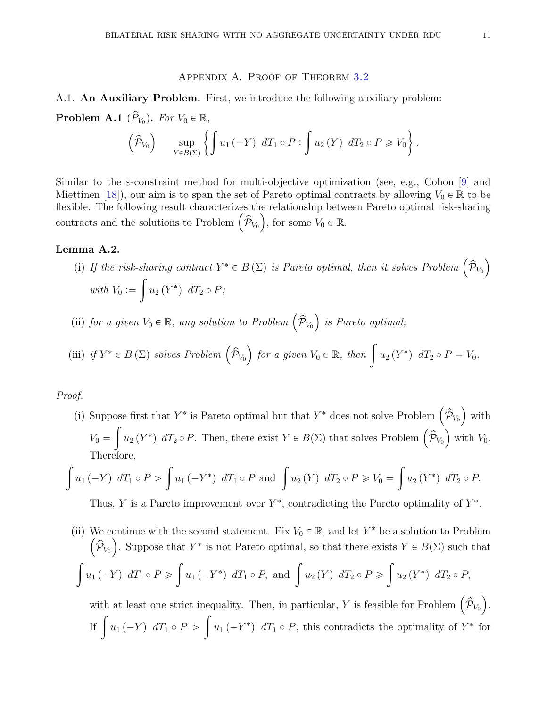#### Appendix A. Proof of Theorem [3.2](#page-3-2)

<span id="page-10-0"></span>A.1. An Auxiliary Problem. First, we introduce the following auxiliary problem: **Problem A.1**  $(\widehat{P}_{V_0})$ . For  $V_0 \in \mathbb{R}$ ,

$$
\left(\widehat{\mathcal{P}}_{V_0}\right) \qquad \sup_{Y \in B(\Sigma)} \left\{ \int u_1 \left(-Y\right) \, dT_1 \circ P : \int u_2 \left(Y\right) \, dT_2 \circ P \geq V_0 \right\}.
$$

Similar to the *ε*-constraint method for multi-objective optimization (see, e.g., Cohon [\[9\]](#page-24-13) and Miettinen [\[18\]](#page-25-10)), our aim is to span the set of Pareto optimal contracts by allowing  $V_0 \in \mathbb{R}$  to be flexible. The following result characterizes the relationship between Pareto optimal risk-sharing contracts and the solutions to Problem  $(\hat{\mathcal{P}}_{V_0})$ , for some  $V_0 \in \mathbb{R}$ .

# <span id="page-10-1"></span>Lemma A.2.

(i) If the risk-sharing contract  $Y^* \in B(\Sigma)$  is Pareto optimal, then it solves Problem  $(\hat{\mathcal{P}}_{V_0})$ with  $V_0 :=$  $\sqrt{2}$  $u_2(Y^*)$   $dT_2 \circ P;$ 

(ii) for a given  $V_0 \in \mathbb{R}$ , any solution to Problem  $(\hat{\mathcal{P}}_{V_0})$  is Pareto optimal;

(iii) if 
$$
Y^* \in B(\Sigma)
$$
 solves Problem  $(\hat{\mathcal{P}}_{V_0})$  for a given  $V_0 \in \mathbb{R}$ , then  $\int u_2(Y^*) dT_2 \circ P = V_0$ .

Proof.

(i) Suppose first that  $Y^*$  is Pareto optimal but that  $Y^*$  does not solve Problem  $(\hat{\mathcal{P}}_{V_0})$  with  $V_0 =$ ż  $u_2(Y^*)$   $dT_2 \circ P$ . Then, there exist  $Y \in B(\Sigma)$  that solves Problem  $(\hat{\mathcal{P}}_{V_0})$  with  $V_0$ . Therefore,

$$
\int u_1 (-Y) dT_1 \circ P > \int u_1 (-Y^*) dT_1 \circ P \text{ and } \int u_2 (Y) dT_2 \circ P \ge V_0 = \int u_2 (Y^*) dT_2 \circ P.
$$

Thus, Y is a Pareto improvement over  $Y^*$ , contradicting the Pareto optimality of  $Y^*$ .

(ii) We continue with the second statement. Fix  $V_0 \in \mathbb{R}$ , and let  $Y^*$  be a solution to Problem  $(\hat{\mathcal{P}}_{V_0})$ . Suppose that Y<sup>\*</sup> is not Pareto optimal, so that there exists  $Y \in B(\Sigma)$  such that ż  $u_1 (-Y) dT_1 \circ P \geqslant$ ż  $u_1(-Y^*)$   $dT_1 \circ P$ , and  $\int u_2(Y) dT_2 \circ P \geqslant$ ż  $u_2(Y^*)$   $dT_2 \circ P$ ,

with at least one strict inequality. Then, in particular, Y is feasible for Problem  $(\hat{\mathcal{P}}_{V_0})$ . If  $\int u_1 (-Y) dT_1 \circ P >$  $\sqrt{2}$  $u_1(-Y^*)$  dT<sub>1</sub>  $\circ$  P, this contradicts the optimality of  $Y^*$  for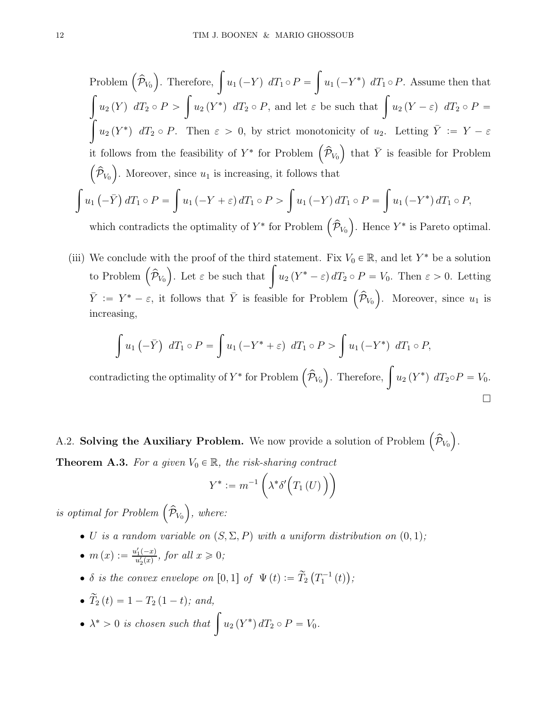Problem 
$$
(\hat{\mathcal{P}}_{V_0})
$$
. Therefore,  $\int u_1 (-Y) dT_1 \circ P = \int u_1 (-Y^*) dT_1 \circ P$ . Assume then that  
\n
$$
\int u_2 (Y) dT_2 \circ P > \int u_2 (Y^*) dT_2 \circ P
$$
, and let  $\varepsilon$  be such that  $\int u_2 (Y - \varepsilon) dT_2 \circ P =$   
\n $\int u_2 (Y^*) dT_2 \circ P$ . Then  $\varepsilon > 0$ , by strict monotonicity of  $u_2$ . Letting  $\overline{Y} := Y - \varepsilon$   
\nit follows from the feasibility of  $Y^*$  for Problem  $(\hat{\mathcal{P}}_{V_0})$  that  $\overline{Y}$  is feasible for Problem  
\n $(\hat{\mathcal{P}}_{V_0})$ . Moreover, since  $u_1$  is increasing, it follows that  
\n
$$
\int u_1 (-\overline{Y}) dT_1 \circ P = \int u_1 (-Y + \varepsilon) dT_1 \circ P > \int u_1 (-Y) dT_1 \circ P = \int u_1 (-Y^*) dT_1 \circ P
$$
,

which contradicts the optimality of  $Y^*$  for Problem  $(\hat{\mathcal{P}}_{V_0})$ . Hence  $Y^*$  is Pareto optimal.

(iii) We conclude with the proof of the third statement. Fix  $V_0 \in \mathbb{R}$ , and let Y<sup>\*</sup> be a solution to Problem  $(\hat{\mathcal{P}}_{V_0})$ . Let  $\varepsilon$  be such that  $\int u_2(Y^*-\varepsilon) dT_2 \circ P = V_0$ . Then  $\varepsilon > 0$ . Letting  $\bar{Y} := Y^* - \varepsilon$ , it follows that  $\bar{Y}$  is feasible for Problem  $(\hat{\mathcal{P}}_{V_0})$ . Moreover, since  $u_1$  is increasing,

$$
\int u_1(-\bar{Y}) dT_1 \circ P = \int u_1(-Y^* + \varepsilon) dT_1 \circ P > \int u_1(-Y^*) dT_1 \circ P,
$$

contradicting the optimality of  $Y^*$  for Problem  $(\hat{\mathcal{P}}_{V_0})$ . Therefore,  $\int u_2(Y^*) dT_2 \circ P = V_0$ .  $\Box$ 

<span id="page-11-0"></span>A.2. Solving the Auxiliary Problem. We now provide a solution of Problem  $(\hat{\mathcal{P}}_{V_0})$ . **Theorem A.3.** For a given  $V_0 \in \mathbb{R}$ , the risk-sharing contract

$$
Y^* := m^{-1}\left(\lambda^*\delta'\Big(T_1\left(U\right)\Big)\right)
$$

is optimal for Problem  $(\widehat{\mathcal{P}}_{V_0})$ , where:

- U is a random variable on  $(S, \Sigma, P)$  with a uniform distribution on  $(0, 1)$ ;
- $m(x) := \frac{u'_1(-x)}{u'_1(x)}$  $\frac{u_1(-x)}{u_2'(x)}$ , for all  $x \geqslant 0$ ;
- $\delta$  is the convex envelope on  $[0,1]$  of  $\Psi(t) := \widetilde{T}_2(T_1^{-1}(t));$
- $\widetilde{T}_2 (t) = 1 T_2 (1 t)$ ; and,
- $\lambda^* > 0$  is chosen such that  $\int u_2(Y^*) dT_2 \circ P = V_0$ .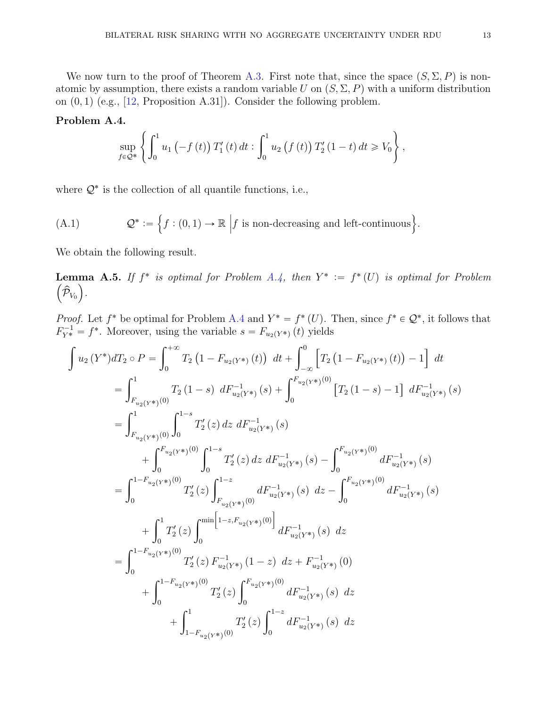We now turn to the proof of Theorem [A.3.](#page-11-0) First note that, since the space  $(S, \Sigma, P)$  is nonatomic by assumption, there exists a random variable U on  $(S, \Sigma, P)$  with a uniform distribution on  $(0, 1)$  (e.g., [\[12,](#page-24-12) Proposition A.31]). Consider the following problem.

# <span id="page-12-0"></span>Problem A.4.

$$
\sup_{f\in\mathcal{Q}^*}\left\{\int_0^1 u_1\left(-f\left(t\right)\right)T_1'(t)\,dt:\int_0^1 u_2\left(f\left(t\right)\right)T_2'\left(1-t\right)dt\geq V_0\right\},\right\}
$$

where  $\mathcal{Q}^*$  is the collection of all quantile functions, i.e.,

(A.1) 
$$
\mathcal{Q}^* := \left\{ f : (0,1) \to \mathbb{R} \middle| f \text{ is non-decreasing and left-continuous} \right\}.
$$

We obtain the following result.

<span id="page-12-1"></span>**Lemma A.5.** If  $f^*$  is optimal for Problem [A.4,](#page-12-0) then  $Y^* := f^*(U)$  is optimal for Problem  $(\widehat{\mathcal{P}}_{V_0})$ .

*Proof.* Let  $f^*$  be optimal for Problem [A.4](#page-12-0) and  $Y^* = f^*(U)$ . Then, since  $f^* \in \mathcal{Q}^*$ , it follows that  $F_{Y^*}^{-1} = f^*$ . Moreover, using the variable  $s = F_{u_2(Y^*)}(t)$  yields

$$
\int u_2(Y^*)dT_2 \circ P = \int_0^{+\infty} T_2 (1 - F_{u_2(Y^*)}(t)) dt + \int_{-\infty}^0 \left[ T_2 (1 - F_{u_2(Y^*)}(t)) - 1 \right] dt
$$
  
\n
$$
= \int_{F_{u_2(Y^*)}(0)}^1 T_2 (1 - s) dF_{u_2(Y^*)}^{-1}(s) + \int_0^{F_{u_2(Y^*)}(0)} \left[ T_2 (1 - s) - 1 \right] dF_{u_2(Y^*)}^{-1}(s)
$$
  
\n
$$
= \int_{F_{u_2(Y^*)}(0)}^1 \int_0^{1-s} T_2'(z) dz dF_{u_2(Y^*)}^{-1}(s)
$$
  
\n
$$
+ \int_0^{F_{u_2(Y^*)}(0)} \int_0^{1-s} T_2'(z) dz dF_{u_2(Y^*)}^{-1}(s) - \int_0^{F_{u_2(Y^*)}(0)} dF_{u_2(Y^*)}^{-1}(s)
$$
  
\n
$$
= \int_0^{1-F_{u_2(Y^*)}(0)} T_2'(z) \int_{F_{u_2(Y^*)}(0)}^{1-z} dF_{u_2(Y^*)}^{-1}(s) dz - \int_0^{F_{u_2(Y^*)}(0)} dF_{u_2(Y^*)}^{-1}(s)
$$
  
\n
$$
+ \int_0^1 T_2'(z) \int_0^{\min \left[ 1 - z, F_{u_2(Y^*)}(0) \right]} dF_{u_2(Y^*)}^{-1}(s) dz
$$
  
\n
$$
= \int_0^{1-F_{u_2(Y^*)}(0)} T_2'(z) F_{u_2(Y^*)}^{-1}(1-z) dz + F_{u_2(Y^*)}^{-1}(0)
$$
  
\n
$$
+ \int_0^{1-F_{u_2(Y^*)}(0)} T_2'(z) \int_0^{F_{u_2(Y^*)}(0)} dF_{u_2(Y^*)}^{-1}(s) dz
$$
  
\n
$$
+ \int_{1-F_{u_2(Y^*)}(0)}^{1-z} T_2'(z) \int_0^{1-z} dF_{u_2(Y^*)}^{-1}(s) dz
$$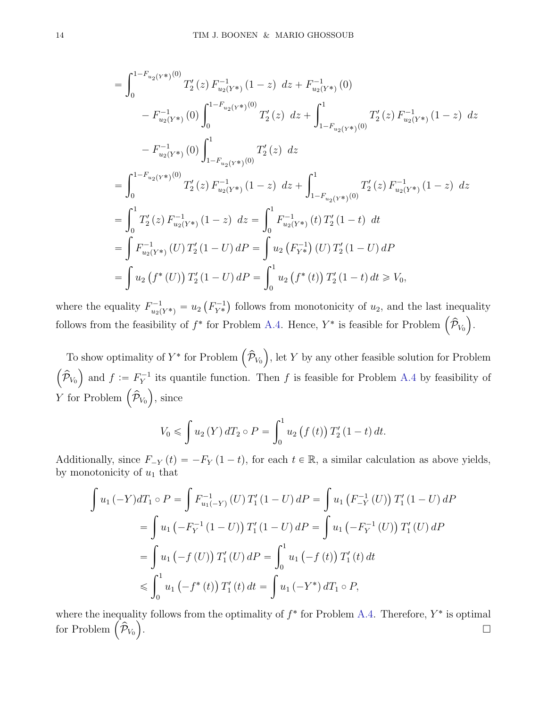$$
= \int_{0}^{1-F_{u_{2}(Y^{*})}(0)} T'_{2}(z) F_{u_{2}(Y^{*})}^{-1}(1-z) dz + F_{u_{2}(Y^{*})}^{-1}(0)
$$
  
\n
$$
- F_{u_{2}(Y^{*})}^{-1}(0) \int_{0}^{1-F_{u_{2}(Y^{*})}(0)} T'_{2}(z) dz + \int_{1-F_{u_{2}(Y^{*})}(0)}^{1} T'_{2}(z) F_{u_{2}(Y^{*})}^{-1}(1-z) dz
$$
  
\n
$$
- F_{u_{2}(Y^{*})}^{-1}(0) \int_{1-F_{u_{2}(Y^{*})}(0)}^{1} T'_{2}(z) dz
$$
  
\n
$$
= \int_{0}^{1-F_{u_{2}(Y^{*})}(0)} T'_{2}(z) F_{u_{2}(Y^{*})}^{-1}(1-z) dz + \int_{1-F_{u_{2}(Y^{*})}(0)}^{1} T'_{2}(z) F_{u_{2}(Y^{*})}^{-1}(1-z) dz
$$
  
\n
$$
= \int_{0}^{1} T'_{2}(z) F_{u_{2}(Y^{*})}^{-1}(1-z) dz = \int_{0}^{1} F_{u_{2}(Y^{*})}^{-1}(t) T'_{2}(1-t) dt
$$
  
\n
$$
= \int F_{u_{2}(Y^{*})}^{-1}(U) T'_{2}(1-U) dP = \int u_{2}(F_{Y^{*}}^{-1})(U) T'_{2}(1-U) dP
$$
  
\n
$$
= \int u_{2}(f^{*}(U)) T'_{2}(1-U) dP = \int_{0}^{1} u_{2}(f^{*}(t)) T'_{2}(1-t) dt \ge V_{0},
$$

where the equality  $F_{u_2(Y^*)}^{-1} = u_2(F_{Y^*}^{-1})$  follows from monotonicity of  $u_2$ , and the last inequality follows from the feasibility of  $f^*$  for Problem [A.4.](#page-12-0) Hence,  $Y^*$  is feasible for Problem  $(\hat{\mathcal{P}}_{V_0})$ .

To show optimality of  $Y^*$  for Problem  $(\hat{\mathcal{P}}_{V_0})$ , let Y by any other feasible solution for Problem  $(\widehat{\mathcal{P}}_{V_0})$  and  $f := F_Y^{-1}$  $Y<sup>-1</sup>$  its quantile function. Then f is feasible for Problem [A.4](#page-12-0) by feasibility of Y for Problem  $(\hat{\mathcal{P}}_{V_0})$ , since

$$
V_0 \leq \int u_2(Y) dT_2 \circ P = \int_0^1 u_2(f(t)) T'_2(1-t) dt.
$$

Additionally, since  $F_{-Y}(t) = -F_Y(1 - t)$ , for each  $t \in \mathbb{R}$ , a similar calculation as above yields, by monotonicity of  $u_1$  that

$$
\int u_1 \, (-Y) dT_1 \circ P = \int F_{u_1(-Y)}^{-1} \, (U) \, T_1' \, (1-U) \, dP = \int u_1 \, (F_{-Y}^{-1} \, (U)) \, T_1' \, (1-U) \, dP
$$
\n
$$
= \int u_1 \, (-F_Y^{-1} \, (1-U)) \, T_1' \, (1-U) \, dP = \int u_1 \, (-F_Y^{-1} \, (U)) \, T_1' \, (U) \, dP
$$
\n
$$
= \int u_1 \, (-f \, (U)) \, T_1' \, (U) \, dP = \int_0^1 u_1 \, (-f \, (t)) \, T_1' \, (t) \, dt
$$
\n
$$
\leqslant \int_0^1 u_1 \, (-f^* \, (t)) \, T_1' \, (t) \, dt = \int u_1 \, (-Y^*) \, dT_1 \circ P,
$$

where the inequality follows from the optimality of  $f^*$  for Problem [A.4.](#page-12-0) Therefore,  $Y^*$  is optimal for Problem  $\left(\widehat{\mathcal{P}}_{V_0}\right)^{\widehat{\theta}}$ .<br>1990 - Johann Stein, Amerikaansk politiker († 1905)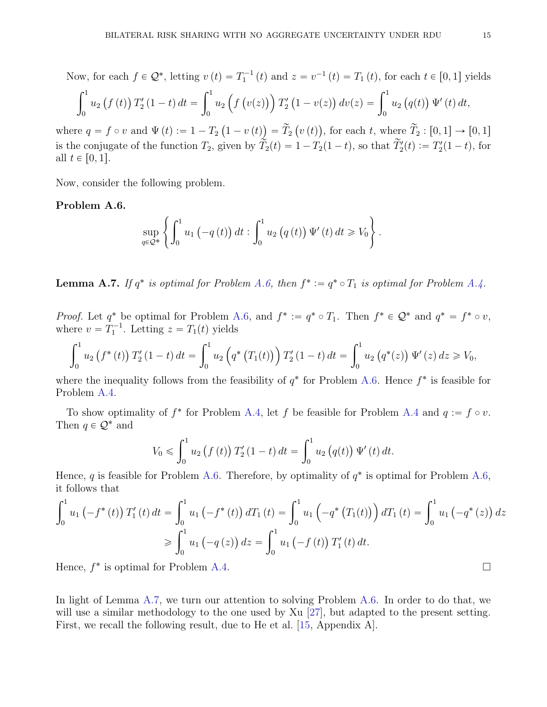Now, for each 
$$
f \in \mathcal{Q}^*
$$
, letting  $v(t) = T_1^{-1}(t)$  and  $z = v^{-1}(t) = T_1(t)$ , for each  $t \in [0, 1]$  yields

$$
\int_0^1 u_2(f(t)) T_2'(1-t) dt = \int_0^1 u_2(f(v(z))) T_2'(1-v(z)) dv(z) = \int_0^1 u_2(g(t)) \Psi'(t) dt,
$$

where  $q = f \circ v$  and  $\Psi(t) := 1 - T_2 \left(1 - v(t)\right) = \widetilde{T}_2 \left(v(t)\right)$ , for each t, where  $\widetilde{T}_2 : [0, 1] \to [0, 1]$ is the conjugate of the function  $T_2$ , given by  $\tilde{T}_2(t) = 1 - T_2(1-t)$ , so that  $\tilde{T}_2'(t) := T_2'(1-t)$ , for all  $t \in [0, 1]$ .

Now, consider the following problem.

# <span id="page-14-0"></span>Problem A.6.

$$
\sup_{q\in\mathcal{Q}^*}\left\{\int_0^1 u_1(-q(t))\,dt:\int_0^1 u_2\left(q(t)\right)\Psi'(t)\,dt\geq V_0\right\}.
$$

<span id="page-14-1"></span>**Lemma A.7.** If  $q^*$  is optimal for Problem [A.6,](#page-14-0) then  $f^* := q^* \circ T_1$  is optimal for Problem [A.4.](#page-12-0)

*Proof.* Let  $q^*$  be optimal for Problem [A.6,](#page-14-0) and  $f^* := q^* \circ T_1$ . Then  $f^* \in \mathcal{Q}^*$  and  $q^* = f^* \circ v$ , where  $v = T_1^{-1}$ . Letting  $z = T_1(t)$  yields

$$
\int_0^1 u_2(f^*(t)) T_2'(1-t) dt = \int_0^1 u_2\left(q^*(T_1(t))\right) T_2'(1-t) dt = \int_0^1 u_2\left(q^*(z)\right) \Psi'(z) dz \geq V_0,
$$

where the inequality follows from the feasibility of  $q^*$  for Problem [A.6.](#page-14-0) Hence  $f^*$  is feasible for Problem [A.4.](#page-12-0)

To show optimality of  $f^*$  for Problem [A.4,](#page-12-0) let f be feasible for Problem [A.4](#page-12-0) and  $q := f \circ v$ . Then  $q \in \mathcal{Q}^*$  and

$$
V_0 \leq \int_0^1 u_2(f(t)) T_2'(1-t) dt = \int_0^1 u_2(q(t)) \Psi'(t) dt.
$$

Hence, q is feasible for Problem [A.6.](#page-14-0) Therefore, by optimality of  $q^*$  is optimal for Problem [A.6,](#page-14-0) it follows that

$$
\int_0^1 u_1(-f^*(t)) T'_1(t) dt = \int_0^1 u_1(-f^*(t)) dT_1(t) = \int_0^1 u_1(-q^*(T_1(t))) dT_1(t) = \int_0^1 u_1(-q^*(z)) dz
$$
  
\n
$$
\geqslant \int_0^1 u_1(-q(z)) dz = \int_0^1 u_1(-f(t)) T'_1(t) dt.
$$

Hence,  $f^*$  is optimal for Problem [A.4.](#page-12-0)

In light of Lemma [A.7,](#page-14-1) we turn our attention to solving Problem [A.6.](#page-14-0) In order to do that, we will use a similar methodology to the one used by Xu [\[27\]](#page-25-11), but adapted to the present setting. First, we recall the following result, due to He et al. [\[15,](#page-24-14) Appendix A].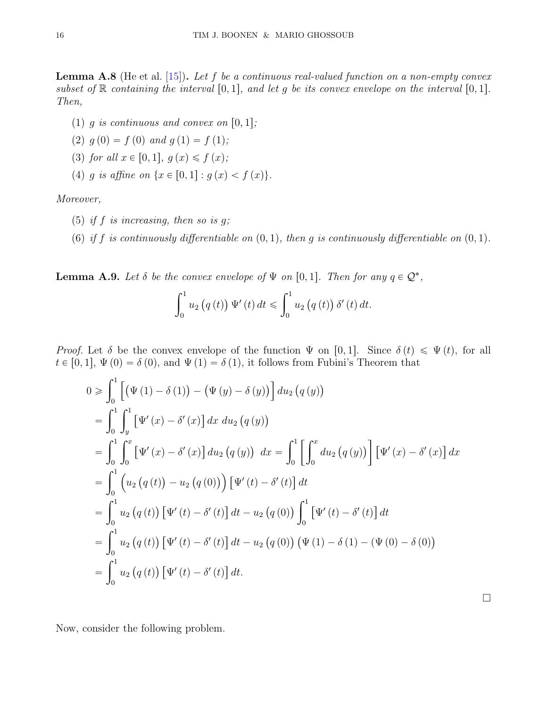**Lemma A.8** (He et al. [\[15\]](#page-24-14)). Let f be a continuous real-valued function on a non-empty convex subset of  $\mathbb R$  containing the interval  $[0, 1]$ , and let g be its convex envelope on the interval  $[0, 1]$ . Then,

- (1) q is continuous and convex on  $[0, 1]$ ;
- (2)  $q(0) = f(0)$  and  $q(1) = f(1);$
- <span id="page-15-0"></span>(3) for all  $x \in [0, 1], g(x) \leq f(x)$ ;
- (4) g is affine on  $\{x \in [0, 1]: g(x) < f(x)\}.$

Moreover,

- (5) if  $f$  is increasing, then so is  $g$ ;
- (6) if f is continuously differentiable on  $(0, 1)$ , then g is continuously differentiable on  $(0, 1)$ .

<span id="page-15-1"></span>**Lemma A.9.** Let  $\delta$  be the convex envelope of  $\Psi$  on  $[0, 1]$ . Then for any  $q \in \mathcal{Q}^*$ ,

$$
\int_0^1 u_2 (q(t)) \Psi'(t) dt \leq \int_0^1 u_2 (q(t)) \delta'(t) dt.
$$

*Proof.* Let  $\delta$  be the convex envelope of the function  $\Psi$  on [0, 1]. Since  $\delta(t) \leq \Psi(t)$ , for all  $t \in [0, 1], \Psi(0) = \delta(0)$ , and  $\Psi(1) = \delta(1)$ , it follows from Fubini's Theorem that

$$
0 \ge \int_0^1 \left[ (\Psi(1) - \delta(1)) - (\Psi(y) - \delta(y)) \right] du_2 (q(y))
$$
  
\n
$$
= \int_0^1 \int_y^1 \left[ \Psi'(x) - \delta'(x) \right] dx du_2 (q(y))
$$
  
\n
$$
= \int_0^1 \int_0^x \left[ \Psi'(x) - \delta'(x) \right] du_2 (q(y)) dx = \int_0^1 \left[ \int_0^x du_2 (q(y)) \right] \left[ \Psi'(x) - \delta'(x) \right] dx
$$
  
\n
$$
= \int_0^1 \left( u_2 (q(t)) - u_2 (q(0)) \right) \left[ \Psi'(t) - \delta'(t) \right] dt
$$
  
\n
$$
= \int_0^1 u_2 (q(t)) \left[ \Psi'(t) - \delta'(t) \right] dt - u_2 (q(0)) \int_0^1 \left[ \Psi'(t) - \delta'(t) \right] dt
$$
  
\n
$$
= \int_0^1 u_2 (q(t)) \left[ \Psi'(t) - \delta'(t) \right] dt - u_2 (q(0)) \left( \Psi(1) - \delta(1) - (\Psi(0) - \delta(0)) \right)
$$
  
\n
$$
= \int_0^1 u_2 (q(t)) \left[ \Psi'(t) - \delta'(t) \right] dt.
$$

Now, consider the following problem.

 $\Box$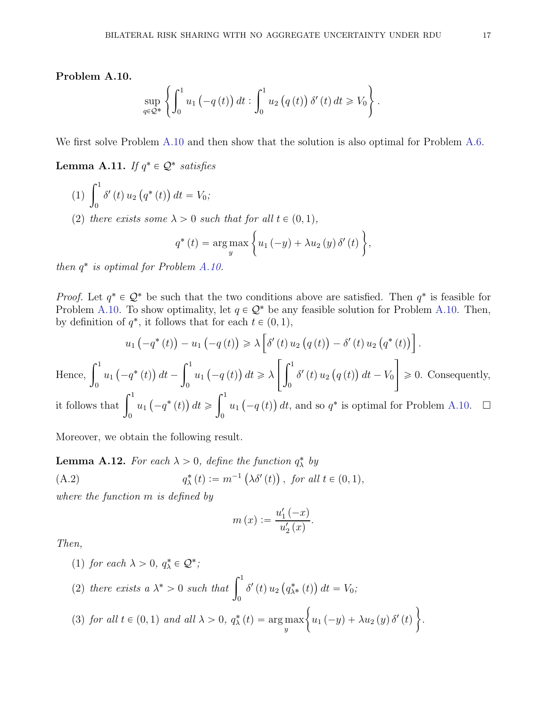<span id="page-16-0"></span>Problem A.10.

$$
\sup_{q \in \mathcal{Q}^*} \left\{ \int_0^1 u_1(-q(t)) dt : \int_0^1 u_2(q(t)) \, \delta'(t) dt \geq V_0 \right\}.
$$

We first solve Problem [A.10](#page-16-0) and then show that the solution is also optimal for Problem [A.6.](#page-14-0)

**Lemma A.11.** If  $q^* \in \mathcal{Q}^*$  satisfies

- $(1)$ 0  $\delta'(t) u_2(q^*(t)) dt = V_0;$
- <span id="page-16-1"></span>(2) there exists some  $\lambda > 0$  such that for all  $t \in (0, 1)$ ,

$$
q^*(t) = \underset{y}{\arg \max} \left\{ u_1(-y) + \lambda u_2(y) \, \delta'(t) \right\},\,
$$

then  $q^*$  is optimal for Problem [A.10.](#page-16-0)

*Proof.* Let  $q^* \in \mathcal{Q}^*$  be such that the two conditions above are satisfied. Then  $q^*$  is feasible for Problem [A.10.](#page-16-0) To show optimality, let  $q \in \mathcal{Q}^*$  be any feasible solution for Problem A.10. Then, by definition of  $q^*$ , it follows that for each  $t \in (0, 1)$ ,

$$
u_1(-q^*(t)) - u_1(-q(t)) \ge \lambda \left[ \delta'(t) u_2(q(t)) - \delta'(t) u_2(q^*(t)) \right].
$$
  
Hence, 
$$
\int_0^1 u_1(-q^*(t)) dt - \int_0^1 u_1(-q(t)) dt \ge \lambda \left[ \int_0^1 \delta'(t) u_2(q(t)) dt - V_0 \right] \ge 0.
$$
 Consequently,

it follows that  $\int_1^1$ 0  $u_1(-q^*(t)) dt \geq$ 0  $u_1(-q(t))$  dt, and so  $q^*$  is optimal for Problem [A.10.](#page-16-0)  $\Box$ 

Moreover, we obtain the following result.

**Lemma A.12.** For each  $\lambda > 0$ , define the function  $q_{\lambda}^{*}$  by

(A.2) 
$$
q_{\lambda}^{*}(t) := m^{-1}(\lambda \delta'(t)), \text{ for all } t \in (0, 1),
$$

where the function m is defined by

<span id="page-16-3"></span>
$$
m(x) := \frac{u'_1(-x)}{u'_2(x)}.
$$

.

Then,

<span id="page-16-2"></span>\n- (1) for each 
$$
\lambda > 0
$$
,  $q_{\lambda}^{*} \in \mathcal{Q}^{*}$ ;
\n- (2) there exists  $a \lambda^{*} > 0$  such that  $\int_{0}^{1} \delta'(t) u_{2}(q_{\lambda^{*}}^{*}(t)) dt = V_{0}$ ;
\n- (3) for all  $t \in (0,1)$  and all  $\lambda > 0$ ,  $q_{\lambda}^{*}(t) = \arg \max_{y} \left\{ u_{1}(-y) + \lambda u_{2}(y) \delta'(t) \right\}$
\n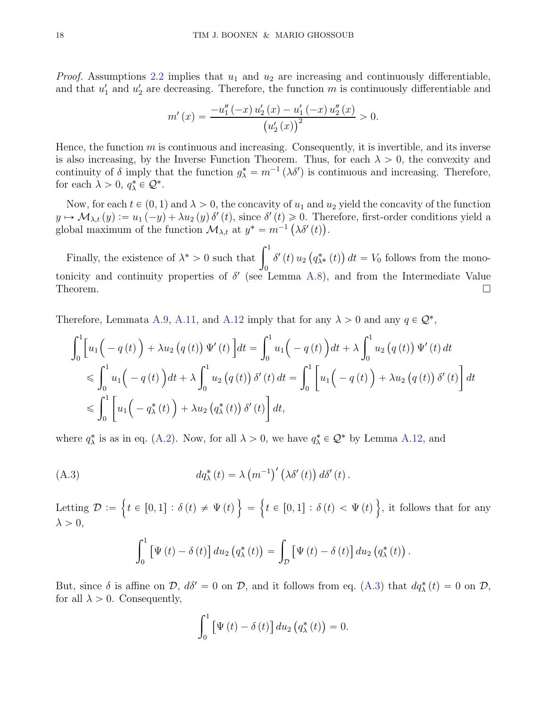*Proof.* Assumptions [2.2](#page-2-2) implies that  $u_1$  and  $u_2$  are increasing and continuously differentiable, and that  $u'_1$  and  $u'_2$  are decreasing. Therefore, the function m is continuously differentiable and

$$
m'(x) = \frac{-u_1''(-x) u_2'(x) - u_1'(-x) u_2''(x)}{(u_2'(x))^2} > 0.
$$

Hence, the function  $m$  is continuous and increasing. Consequently, it is invertible, and its inverse is also increasing, by the Inverse Function Theorem. Thus, for each  $\lambda > 0$ , the convexity and continuity of  $\delta$  imply that the function  $g_{\lambda}^* = m^{-1} (\lambda \delta')$  is continuous and increasing. Therefore, for each  $\lambda > 0, q_{\lambda}^* \in \mathcal{Q}^*$ .

Now, for each  $t \in (0, 1)$  and  $\lambda > 0$ , the concavity of  $u_1$  and  $u_2$  yield the concavity of the function  $y \mapsto M_{\lambda,t} (y) := u_1 (-y) + \lambda u_2 (y) \, \delta'(t)$ , since  $\delta'(t) \geq 0$ . Therefore, first-order conditions yield a global maximum of the function  $\mathcal{M}_{\lambda,t}$  at  $y^* = m^{-1} (\lambda \delta'(t)).$ 

Finally, the existence of  $\lambda^* > 0$  such that  $\int_1^1$ 0  $\delta'(t) u_2(q_{\lambda^*}^*(t)) dt = V_0$  follows from the monotonicity and continuity properties of  $\delta'$  (see Lemma [A.8\)](#page-15-0), and from the Intermediate Value Theorem.  $\Box$ 

Therefore, Lemmata [A.9,](#page-15-1) [A.11,](#page-16-1) and [A.12](#page-16-2) imply that for any  $\lambda > 0$  and any  $q \in \mathcal{Q}^*$ ,

$$
\int_{0}^{1} \left[ u_{1} \left( -q(t) \right) + \lambda u_{2} \left( q(t) \right) \Psi'(t) \right] dt = \int_{0}^{1} u_{1} \left( -q(t) \right) dt + \lambda \int_{0}^{1} u_{2} \left( q(t) \right) \Psi'(t) dt
$$
  
\n
$$
\leq \int_{0}^{1} u_{1} \left( -q(t) \right) dt + \lambda \int_{0}^{1} u_{2} \left( q(t) \right) \delta'(t) dt = \int_{0}^{1} \left[ u_{1} \left( -q(t) \right) + \lambda u_{2} \left( q(t) \right) \delta'(t) \right] dt
$$
  
\n
$$
\leq \int_{0}^{1} \left[ u_{1} \left( -q_{\lambda}^{*}(t) \right) + \lambda u_{2} \left( q_{\lambda}^{*}(t) \right) \delta'(t) \right] dt,
$$

where  $q_{\lambda}^{*}$  is as in eq. [\(A.2\)](#page-16-3). Now, for all  $\lambda > 0$ , we have  $q_{\lambda}^{*} \in \mathcal{Q}^{*}$  by Lemma [A.12,](#page-16-2) and

(A.3) 
$$
dq_{\lambda}^{*}(t) = \lambda (m^{-1})' (\lambda \delta'(t)) d\delta'(t).
$$

Letting  $\mathcal{D} := \{t \in [0,1]: \delta(t) \neq \Psi(t)\} = \{t \in [0,1]: \delta(t) < \Psi(t)\}$ , it follows that for any  $\lambda > 0$ ,

<span id="page-17-0"></span>
$$
\int_0^1 \left[ \Psi(t) - \delta(t) \right] du_2 \left( q_\lambda^*(t) \right) = \int_{\mathcal{D}} \left[ \Psi(t) - \delta(t) \right] du_2 \left( q_\lambda^*(t) \right).
$$

But, since  $\delta$  is affine on  $\mathcal{D}$ ,  $d\delta' = 0$  on  $\mathcal{D}$ , and it follows from eq. [\(A.3\)](#page-17-0) that  $dq_{\lambda}^*(t) = 0$  on  $\mathcal{D}$ , for all  $\lambda > 0$ . Consequently,

$$
\int_0^1 \left[ \Psi(t) - \delta(t) \right] du_2 \left( q_\lambda^*(t) \right) = 0.
$$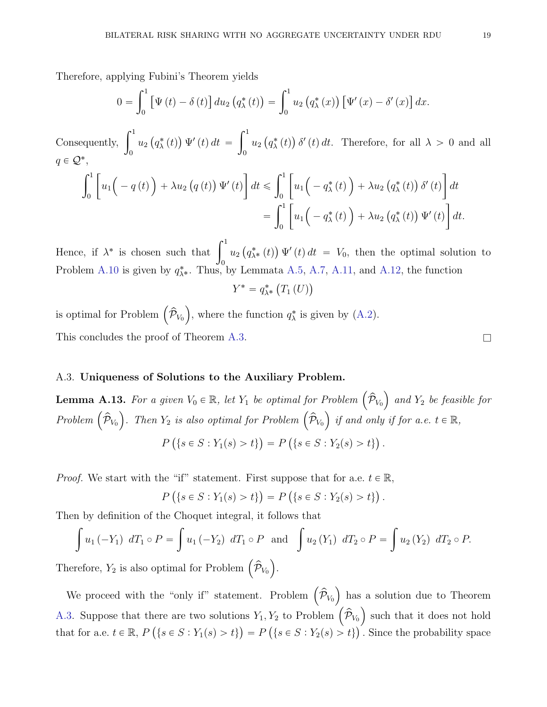Therefore, applying Fubini's Theorem yields

$$
0 = \int_0^1 [\Psi(t) - \delta(t)] du_2 (q_\lambda^*(t)) = \int_0^1 u_2 (q_\lambda^*(x)) [\Psi'(x) - \delta'(x)] dx.
$$

Consequently,  $\int_1^1$  $\boldsymbol{0}$  $u_2(g^*_\lambda(t)) \Psi'(t) dt =$  $\int_0^1$ 0  $u_2(q_\lambda^*(t)) \delta'(t) dt$ . Therefore, for all  $\lambda > 0$  and all  $q \in \mathcal{Q}^*,$ 

$$
\int_0^1 \left[ u_1 \left( -q(t) \right) + \lambda u_2 \left( q(t) \right) \Psi'(t) \right] dt \leq \int_0^1 \left[ u_1 \left( -q_\lambda^*(t) \right) + \lambda u_2 \left( q_\lambda^*(t) \right) \delta'(t) \right] dt
$$
  
= 
$$
\int_0^1 \left[ u_1 \left( -q_\lambda^*(t) \right) + \lambda u_2 \left( q_\lambda^*(t) \right) \Psi'(t) \right] dt.
$$

Hence, if  $\lambda^*$  is chosen such that  $\int_1^1$  $\boldsymbol{0}$  $u_2(q_{\lambda^*}^*(t)) \Psi'(t) dt = V_0$ , then the optimal solution to Problem [A.10](#page-16-0) is given by  $q_{\lambda^*}^*$ . Thus, by Lemmata [A.5,](#page-12-1) [A.7,](#page-14-1) [A.11,](#page-16-1) and [A.12,](#page-16-2) the function  $Y^* = q_{\lambda^*}^* (T_1(U))$ 

is optimal for Problem  $(\hat{\mathcal{P}}_{V_0})$ , where the function  $q^*_{\lambda}$  is given by [\(A.2\)](#page-16-3). This concludes the proof of Theorem [A.3.](#page-11-0)

# A.3. Uniqueness of Solutions to the Auxiliary Problem.

<span id="page-18-0"></span>**Lemma A.13.** For a given  $V_0 \in \mathbb{R}$ , let  $Y_1$  be optimal for Problem  $(\hat{\mathcal{P}}_{V_0})$  and  $Y_2$  be feasible for Problem  $(\hat{\mathcal{P}}_{V_0})$ . Then  $Y_2$  is also optimal for Problem  $(\hat{\mathcal{P}}_{V_0})$  if and only if for a.e.  $t \in \mathbb{R}$ ,  $P\left(\{s \in S : Y_1(s) > t\}\right) = P\left(\{s \in S : Y_2(s) > t\}\right).$ 

*Proof.* We start with the "if" statement. First suppose that for a.e.  $t \in \mathbb{R}$ ,

$$
P(\{s \in S : Y_1(s) > t\}) = P(\{s \in S : Y_2(s) > t\}).
$$

Then by definition of the Choquet integral, it follows that

$$
\int u_1 (-Y_1) \, dT_1 \circ P = \int u_1 (-Y_2) \, dT_1 \circ P \text{ and } \int u_2 (Y_1) \, dT_2 \circ P = \int u_2 (Y_2) \, dT_2 \circ P.
$$

Therefore,  $Y_2$  is also optimal for Problem  $(\hat{\mathcal{P}}_{V_0})$ .

We proceed with the "only if" statement. Problem  $(\hat{\mathcal{P}}_{V_0})$  has a solution due to Theorem [A.3.](#page-11-0) Suppose that there are two solutions  $Y_1, Y_2$  to Problem  $(\hat{\mathcal{P}}_{V_0})$  such that it does not hold that for a.e.  $t \in \mathbb{R}$ ,  $P(\{s \in S : Y_1(s) > t\}) = P(\{s \in S : Y_2(s) > t\})$ . Since the probability space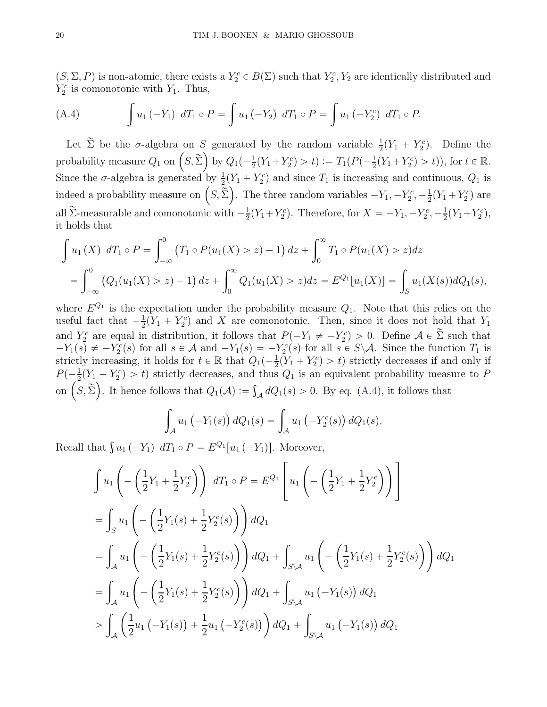$(S, \Sigma, P)$  is non-atomic, there exists a  $Y_2^c \in B(\Sigma)$  such that  $Y_2^c, Y_2$  are identically distributed and  $Y_2^c$  is comonotonic with  $Y_1$ . Thus,

<span id="page-19-0"></span>(A.4) 
$$
\int u_1 (-Y_1) dT_1 \circ P = \int u_1 (-Y_2) dT_1 \circ P = \int u_1 (-Y_2) dT_1 \circ P.
$$

Let  $\tilde{\Sigma}$  be the  $\sigma$ -algebra on S generated by the random variable  $\frac{1}{2}(Y_1 + Y_2^c)$ . Define the probability measure  $Q_1$  on  $(S, \tilde{\Sigma})$  by  $Q_1(-\frac{1}{2}(Y_1+Y_2^c) > t) := T_1(P(-\frac{1}{2}(Y_1+Y_2^c) > t))$ , for  $t \in \mathbb{R}$ . Since the  $\sigma$ -algebra is generated by  $\frac{1}{2}(Y_1 + Y_2^c)$  and since  $T_1$  is increasing and continuous,  $Q_1$  is indeed a probability measure on  $(S, \tilde{\Sigma})$ . The three random variables  $-Y_1, -Y_2^c, -\frac{1}{2}$  $\frac{1}{2}(Y_1+Y_2^c)$  are all  $\widetilde{\Sigma}$ -measurable and comonotonic with  $-\frac{1}{2}$  $\frac{1}{2}(Y_1+Y_2^c)$ . Therefore, for  $X = -Y_1, -Y_2^c, -\frac{1}{2}$  $\frac{1}{2}(Y_1+Y_2^c),$ it holds that

$$
\int u_1(X) dT_1 \circ P = \int_{-\infty}^0 (T_1 \circ P(u_1(X) > z) - 1) dz + \int_0^\infty T_1 \circ P(u_1(X) > z) dz
$$
  
= 
$$
\int_{-\infty}^0 (Q_1(u_1(X) > z) - 1) dz + \int_0^\infty Q_1(u_1(X) > z) dz = E^{Q_1}[u_1(X)] = \int_S u_1(X(s)) dQ_1(s),
$$

where  $E^{Q_1}$  is the expectation under the probability measure  $Q_1$ . Note that this relies on the useful fact that  $-\frac{1}{2}$  $\frac{1}{2}(Y_1 + Y_2^c)$  and X are comonotonic. Then, since it does not hold that  $Y_1$ and  $Y_2^c$  are equal in distribution, it follows that  $P(-Y_1 \neq -Y_2^c) > 0$ . Define  $\mathcal{A} \in \Sigma$  such that  $-Y_1(s) \neq -Y_2^c(s)$  for all  $s \in \mathcal{A}$  and  $-Y_1(s) = -Y_2^c(s)$  for all  $s \in S \backslash \mathcal{A}$ . Since the function  $T_1$  is strictly increasing, it holds for  $t \in \mathbb{R}$  that  $Q_1(-\frac{1}{2}(\tilde{Y}_1 + Y_2^c) > t)$  strictly decreases if and only if  $P(-\frac{1}{2}(Y_1 + Y_2^c) > t)$  strictly decreases, and thus  $Q_1$  is an equivalent probability measure to P on  $(S, \tilde{\Sigma})$ . It hence follows that  $Q_1(A) := \int_{\mathcal{A}} dQ_1(s) > 0$ . By eq. [\(A.4\)](#page-19-0), it follows that

$$
\int_{A} u_1(-Y_1(s)) dQ_1(s) = \int_{A} u_1(-Y_2^c(s)) dQ_1(s).
$$

Recall that  $\int u_1 (-Y_1) dT_1 \circ P = E^{Q_1}[u_1 (-Y_1)]$ . Moreover,

$$
\int u_1 \left( -\left(\frac{1}{2}Y_1 + \frac{1}{2}Y_2^c\right) \right) dT_1 \circ P = E^{Q_1} \left[ u_1 \left( -\left(\frac{1}{2}Y_1 + \frac{1}{2}Y_2^c\right) \right) \right]
$$
  
\n
$$
= \int_{S} u_1 \left( -\left(\frac{1}{2}Y_1(s) + \frac{1}{2}Y_2^c(s) \right) \right) dQ_1
$$
  
\n
$$
= \int_{A} u_1 \left( -\left(\frac{1}{2}Y_1(s) + \frac{1}{2}Y_2^c(s) \right) \right) dQ_1 + \int_{S \setminus A} u_1 \left( -\left(\frac{1}{2}Y_1(s) + \frac{1}{2}Y_2^c(s) \right) \right) dQ_1
$$
  
\n
$$
= \int_{A} u_1 \left( -\left(\frac{1}{2}Y_1(s) + \frac{1}{2}Y_2^c(s) \right) \right) dQ_1 + \int_{S \setminus A} u_1 \left( -Y_1(s) \right) dQ_1
$$
  
\n
$$
> \int_{A} \left( \frac{1}{2} u_1 \left( -Y_1(s) \right) + \frac{1}{2} u_1 \left( -Y_2^c(s) \right) \right) dQ_1 + \int_{S \setminus A} u_1 \left( -Y_1(s) \right) dQ_1
$$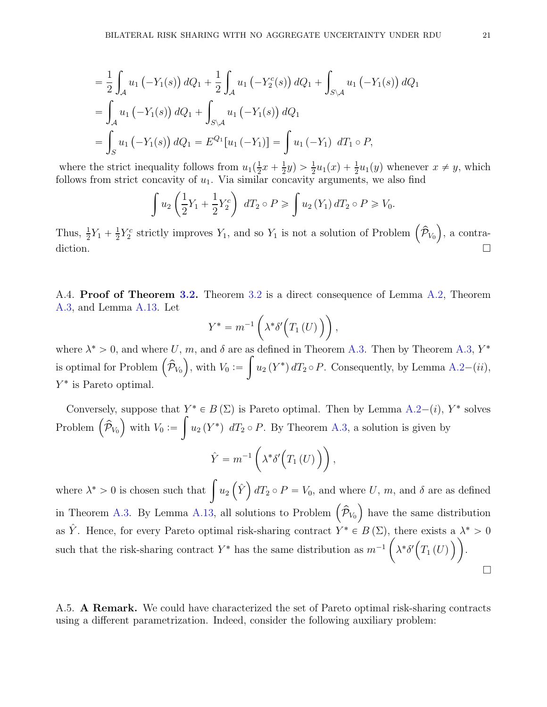$$
= \frac{1}{2} \int_{\mathcal{A}} u_1 \left( -Y_1(s) \right) dQ_1 + \frac{1}{2} \int_{\mathcal{A}} u_1 \left( -Y_2^c(s) \right) dQ_1 + \int_{S \setminus \mathcal{A}} u_1 \left( -Y_1(s) \right) dQ_1
$$
  

$$
= \int_{\mathcal{A}} u_1 \left( -Y_1(s) \right) dQ_1 + \int_{S \setminus \mathcal{A}} u_1 \left( -Y_1(s) \right) dQ_1
$$
  

$$
= \int_{S} u_1 \left( -Y_1(s) \right) dQ_1 = E^{Q_1}[u_1(-Y_1)] = \int u_1 \left( -Y_1 \right) dT_1 \circ P,
$$

where the strict inequality follows from  $u_1(\frac{1}{2})$  $\frac{1}{2}x + \frac{1}{2}$  $\frac{1}{2}y$ ) >  $\frac{1}{2}u_1(x) + \frac{1}{2}u_1(y)$  whenever  $x \neq y$ , which follows from strict concavity of  $u_1$ . Via similar concavity arguments, we also find

$$
\int u_2\left(\frac{1}{2}Y_1+\frac{1}{2}Y_2^c\right) dT_2 \circ P \geqslant \int u_2\left(Y_1\right) dT_2 \circ P \geqslant V_0.
$$

Thus,  $\frac{1}{2}Y_1 + \frac{1}{2}$  $\frac{1}{2}Y_2^c$  strictly improves  $Y_1$ , and so  $Y_1$  is not a solution of Problem  $(\hat{\mathcal{P}}_{V_0})$ , a contradiction.

A.4. Proof of Theorem [3.2.](#page-3-2) Theorem [3.2](#page-3-2) is a direct consequence of Lemma [A.2,](#page-10-1) Theorem [A.3,](#page-11-0) and Lemma [A.13.](#page-18-0) Let

$$
Y^* = m^{-1} \left( \lambda^* \delta' \Big( T_1 \left( U \right) \Big) \right),
$$

where  $\lambda^* > 0$ , and where U, m, and  $\delta$  are as defined in Theorem [A.3.](#page-11-0) Then by Theorem [A.3,](#page-11-0)  $Y^*$ is optimal for Problem  $(\hat{\mathcal{P}}_{V_0})$ , with  $V_0 :=$ ż  $u_2(Y^*) dT_2 \circ P$ . Consequently, by Lemma [A.2](#page-10-1)- $(ii)$ , Y ˚ is Pareto optimal.

Conversely, suppose that  $Y^* \in B(\Sigma)$  is Pareto optimal. Then by Lemma [A.2](#page-10-1)–(*i*),  $Y^*$  solves Problem  $(\hat{\mathcal{P}}_{V_0})$  with  $V_0 :=$ ż  $u_2(Y^*)$  dT<sub>2</sub>  $\circ$  P. By Theorem [A.3,](#page-11-0) a solution is given by  $\hat{Y} = m^{-1}$  $\lambda^* \delta' \big( T_1(U) \big) \big),$ 

where  $\lambda^* > 0$  is chosen such that  $\int u_2(\hat{Y}) dT_2 \circ P = V_0$ , and where U, m, and  $\delta$  are as defined in Theorem [A.3.](#page-11-0) By Lemma [A.13,](#page-18-0) all solutions to Problem  $(\hat{\mathcal{P}}_{V_0})$  have the same distribution as  $\hat{Y}$ . Hence, for every Pareto optimal risk-sharing contract  $Y^* \in B(\Sigma)$ , there exists a  $\lambda^* > 0$ such that the risk-sharing contract  $Y^*$  has the same distribution as  $m^{-1}$ ˆ  $\lambda^* \delta' \big( T_1(U) \big) \big).$  $\Box$ 

A.5. A Remark. We could have characterized the set of Pareto optimal risk-sharing contracts using a different parametrization. Indeed, consider the following auxiliary problem: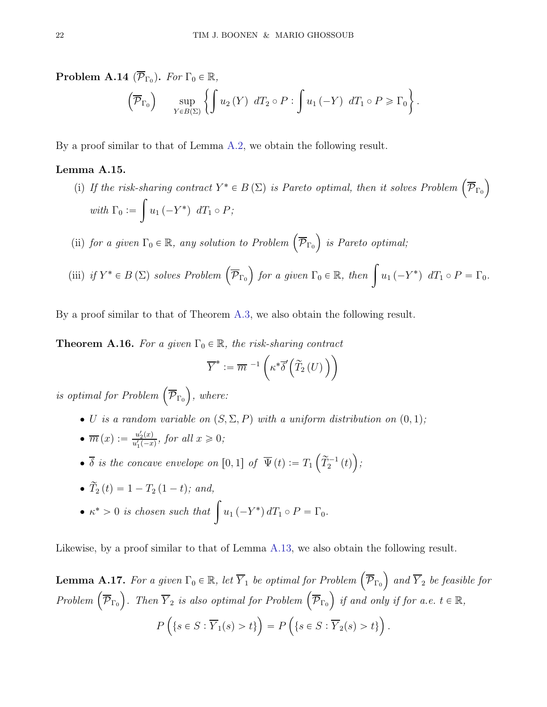$\overline{)}$ .

**Problem A.14** ( $\overline{\mathcal{P}}_{\Gamma_0}$ ). For  $\Gamma_0 \in \mathbb{R}$ ,  $\left(\overline{\mathcal{P}}_{\Gamma_0}\right)$  sup  $Y \in B(\Sigma)$  $\lceil$  $u_2(Y)$   $dT_2 \circ P$ : ż  $u_1 (-Y) dT_1 \circ P \geqslant \Gamma_0$ 

By a proof similar to that of Lemma [A.2,](#page-10-1) we obtain the following result.

## <span id="page-21-0"></span>Lemma A.15.

(i) If the risk-sharing contract  $Y^* \in B(\Sigma)$  is Pareto optimal, then it solves Problem  $(\overline{\mathcal{P}}_{\Gamma_0})$ with  $\Gamma_0 :=$ ż  $u_1(-Y^*)$   $dT_1 \circ P;$ 

(ii) for a given  $\Gamma_0 \in \mathbb{R}$ , any solution to Problem  $(\overline{\mathcal{P}}_{\Gamma_0})$  is Pareto optimal;

(iii) if  $Y^* \in B(\Sigma)$  solves Problem  $\left(\overline{\mathcal{P}}_{\Gamma_0}\right)$  for a given  $\Gamma_0 \in \mathbb{R}$ , then  $\left\{u_1 \left(-Y^*\right) dT_1 \circ P = \Gamma_0$ .

By a proof similar to that of Theorem [A.3,](#page-11-0) we also obtain the following result.

<span id="page-21-1"></span>**Theorem A.16.** For a given  $\Gamma_0 \in \mathbb{R}$ , the risk-sharing contract

$$
\overline{Y}^* := \overline{m}^{-1}\left(\kappa^*\overline{\delta}'\left(\widetilde{T}_2\left(U\right)\right)\right)
$$

is optimal for Problem  $(\overline{\mathcal{P}}_{\Gamma_0})$ , where:

- U is a random variable on  $(S, \Sigma, P)$  with a uniform distribution on  $(0, 1);$
- $\bullet \ \overline{m}(x) := \frac{u_2'(x)}{u_1'(-x)}$  $\frac{u_2(x)}{u'_1(-x)}$ , for all  $x \geqslant 0$ ;
- $\overline{\delta}$  is the concave envelope on  $[0, 1]$  of  $\overline{\Psi}(t) := T_1(\widetilde{T}_2^{-1}(t))$ ;

$$
\bullet \ \widetilde{T}_2(t) = 1 - T_2(1-t); \ and,
$$

•  $\kappa^* > 0$  is chosen such that  $\int u_1 (-Y^*) dT_1 \circ P = \Gamma_0$ .

Likewise, by a proof similar to that of Lemma [A.13,](#page-18-0) we also obtain the following result.

<span id="page-21-2"></span>**Lemma A.17.** For a given  $\Gamma_0 \in \mathbb{R}$ , let  $\overline{Y}_1$  be optimal for Problem  $(\overline{\mathcal{P}}_{\Gamma_0})$  and  $\overline{Y}_2$  be feasible for Problem  $(\overline{\mathcal{P}}_{\Gamma_0})$ . Then  $\overline{Y}_2$  is also optimal for Problem  $(\overline{\mathcal{P}}_{\Gamma_0})$  if and only if for a.e.  $t \in \mathbb{R}$ ,  $P\left(\{s \in S : \overline{Y}_1(s) > t\}\right) = P\left(\{s \in S : \overline{Y}_2(s) > t\}\right).$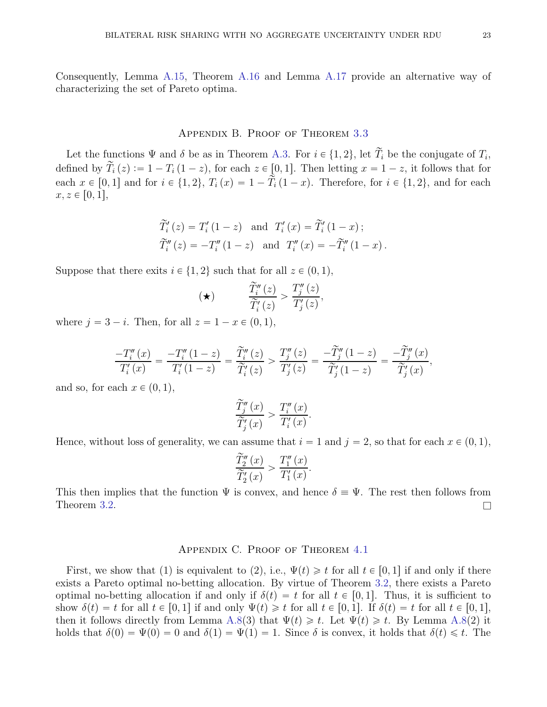Consequently, Lemma [A.15,](#page-21-0) Theorem [A.16](#page-21-1) and Lemma [A.17](#page-21-2) provide an alternative way of characterizing the set of Pareto optima.

# Appendix B. Proof of Theorem [3.3](#page-4-0)

Let the functions  $\Psi$  and  $\delta$  be as in Theorem [A.3.](#page-11-0) For  $i \in \{1, 2\}$ , let  $T_i$  be the conjugate of  $T_i$ , defined by  $\widetilde{T}_i(z) := 1 - T_i(1 - z)$ , for each  $z \in [0, 1]$ . Then letting  $x = 1 - z$ , it follows that for each  $x \in [0, 1]$  and for  $i \in \{1, 2\}$ ,  $T_i(x) = 1 - \tilde{T}_i(1 - x)$ . Therefore, for  $i \in \{1, 2\}$ , and for each  $x, z \in [0, 1],$ 

$$
\widetilde{T}'_i(z) = T'_i(1-z)
$$
 and  $T'_i(x) = \widetilde{T}'_i(1-x)$ ;  
\n $\widetilde{T}''_i(z) = -T''_i(1-z)$  and  $T''_i(x) = -\widetilde{T}''_i(1-x)$ .

Suppose that there exits  $i \in \{1, 2\}$  such that for all  $z \in (0, 1)$ ,

$$
(\star) \qquad \qquad \frac{\widetilde{T}_i''(z)}{\widetilde{T}_i'(z)} > \frac{T_j''(z)}{T_j'(z)},
$$

where  $j = 3 - i$ . Then, for all  $z = 1 - x \in (0, 1)$ ,

$$
\frac{-T''_i(x)}{T'_i(x)} = \frac{-T''_i(1-z)}{T'_i(1-z)} = \frac{\widetilde{T}''_i(z)}{\widetilde{T}'_i(z)} > \frac{T''_j(z)}{T'_j(z)} = \frac{-\widetilde{T}''_j(1-z)}{\widetilde{T}'_j(1-z)} = \frac{-\widetilde{T}''_j(x)}{\widetilde{T}'_j(x)},
$$

and so, for each  $x \in (0, 1)$ ,

$$
\frac{\widetilde{T}_{j}''(x)}{\widetilde{T}_{j}'(x)} > \frac{T_{i}''(x)}{T_{i}'(x)}
$$

.

Hence, without loss of generality, we can assume that  $i = 1$  and  $j = 2$ , so that for each  $x \in (0, 1)$ ,

$$
\frac{\widetilde{T}_2''(x)}{\widetilde{T}_2'(x)} > \frac{T_1''(x)}{T_1'(x)}.
$$

This then implies that the function  $\Psi$  is convex, and hence  $\delta = \Psi$ . The rest then follows from Theorem [3.2.](#page-3-2)  $\Box$ 

# Appendix C. Proof of Theorem [4.1](#page-7-2)

First, we show that (1) is equivalent to (2), i.e.,  $\Psi(t) \geq t$  for all  $t \in [0, 1]$  if and only if there exists a Pareto optimal no-betting allocation. By virtue of Theorem [3.2,](#page-3-2) there exists a Pareto optimal no-betting allocation if and only if  $\delta(t) = t$  for all  $t \in [0, 1]$ . Thus, it is sufficient to show  $\delta(t) = t$  for all  $t \in [0, 1]$  if and only  $\Psi(t) \geq t$  for all  $t \in [0, 1]$ . If  $\delta(t) = t$  for all  $t \in [0, 1]$ , then it follows directly from Lemma [A.8\(](#page-15-0)3) that  $\Psi(t) \geq t$ . Let  $\Psi(t) \geq t$ . By Lemma A.8(2) it holds that  $\delta(0) = \Psi(0) = 0$  and  $\delta(1) = \Psi(1) = 1$ . Since  $\delta$  is convex, it holds that  $\delta(t) \leq t$ . The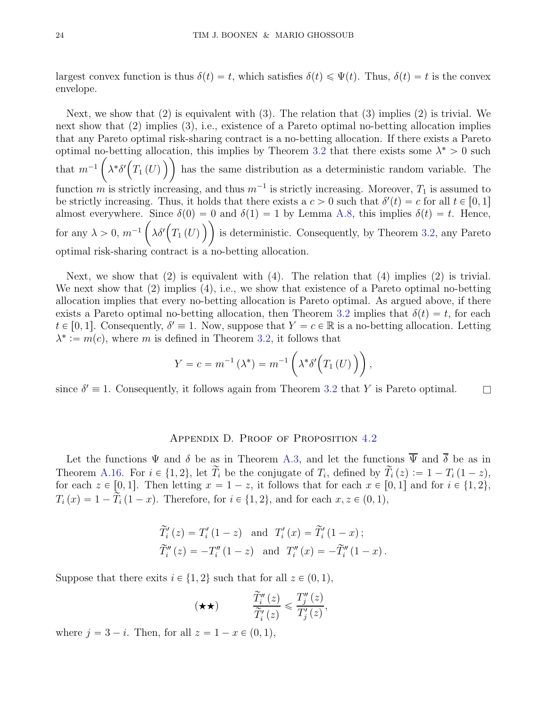largest convex function is thus  $\delta(t) = t$ , which satisfies  $\delta(t) \leq \Psi(t)$ . Thus,  $\delta(t) = t$  is the convex envelope.

Next, we show that  $(2)$  is equivalent with  $(3)$ . The relation that  $(3)$  implies  $(2)$  is trivial. We next show that (2) implies (3), i.e., existence of a Pareto optimal no-betting allocation implies that any Pareto optimal risk-sharing contract is a no-betting allocation. If there exists a Pareto optimal no-betting allocation, this implies by Theorem [3.2](#page-3-2) that there exists some  $\lambda^* > 0$  such that  $m^{-1}$  $\sqrt{2}$  $\lambda^* \delta'(\overline{T_1(U)})$  has the same distribution as a deterministic random variable. The function m is strictly increasing, and thus  $m^{-1}$  is strictly increasing. Moreover,  $T_1$  is assumed to be strictly increasing. Thus, it holds that there exists a  $c > 0$  such that  $\delta'(t) = c$  for all  $t \in [0, 1]$ almost everywhere. Since  $\delta(0) = 0$  and  $\delta(1) = 1$  by Lemma [A.8,](#page-15-0) this implies  $\delta(t) = t$ . Hence, for any  $\lambda > 0$ ,  $m^{-1}$  $\sqrt{2}$  $\lambda \delta'(T_1(U))$  is deterministic. Consequently, by Theorem [3.2,](#page-3-2) any Pareto optimal risk-sharing contract is a no-betting allocation.

Next, we show that  $(2)$  is equivalent with  $(4)$ . The relation that  $(4)$  implies  $(2)$  is trivial. We next show that (2) implies (4), i.e., we show that existence of a Pareto optimal no-betting allocation implies that every no-betting allocation is Pareto optimal. As argued above, if there exists a Pareto optimal no-betting allocation, then Theorem [3.2](#page-3-2) implies that  $\delta(t) = t$ , for each  $t \in [0, 1]$ . Consequently,  $\delta' \equiv 1$ . Now, suppose that  $Y = c \in \mathbb{R}$  is a no-betting allocation. Letting  $\lambda^* := m(c)$ , where m is defined in Theorem [3.2,](#page-3-2) it follows that

$$
Y = c = m^{-1} (\lambda^*) = m^{-1} (\lambda^* \delta'(T_1(U)))
$$
,

since  $\delta' \equiv 1$ . Consequently, it follows again from Theorem [3.2](#page-3-2) that Y is Pareto optimal.

### Appendix D. Proof of Proposition [4.2](#page-8-1)

Let the functions  $\Psi$  and  $\delta$  be as in Theorem [A.3,](#page-11-0) and let the functions  $\overline{\Psi}$  and  $\overline{\delta}$  be as in Theorem [A.16.](#page-21-1) For  $i \in \{1, 2\}$ , let  $T_i$  be the conjugate of  $T_i$ , defined by  $T_i(z) := 1 - T_i(1 - z)$ , for each  $z \in [0, 1]$ . Then letting  $x = 1 - z$ , it follows that for each  $x \in [0, 1]$  and for  $i \in \{1, 2\}$ ,  $T_i(x) = 1 - \tilde{T}_i (1 - x)$ . Therefore, for  $i \in \{1, 2\}$ , and for each  $x, z \in (0, 1)$ ,

$$
\widetilde{T}'_i(z) = T'_i(1-z)
$$
 and  $T'_i(x) = \widetilde{T}'_i(1-x)$ ;  
\n $\widetilde{T}''_i(z) = -T''_i(1-z)$  and  $T''_i(x) = -\widetilde{T}''_i(1-x)$ .

Suppose that there exits  $i \in \{1, 2\}$  such that for all  $z \in (0, 1)$ ,

$$
(\star \star) \qquad \qquad \frac{\widetilde{T}_i''(z)}{\widetilde{T}_i'(z)} \leqslant \frac{T_j''(z)}{T_j'(z)},
$$

where  $j = 3 - i$ . Then, for all  $z = 1 - x \in (0, 1)$ ,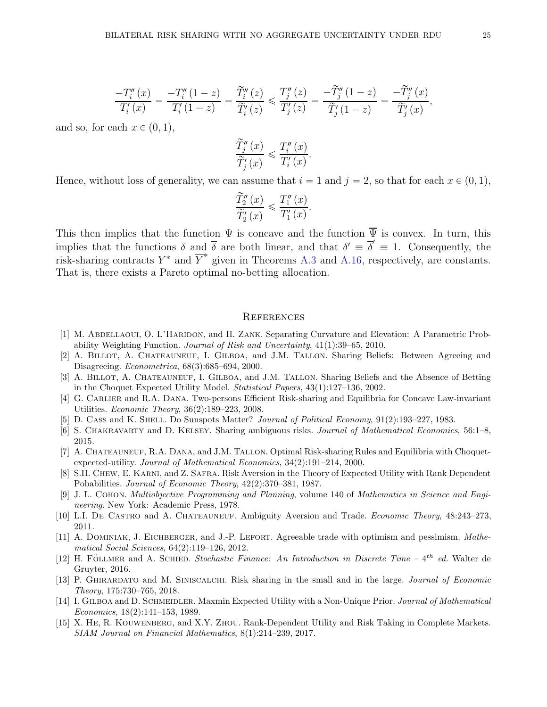$$
\frac{-T_i''(x)}{T_i'(x)} = \frac{-T_i''(1-z)}{T_i'(1-z)} = \frac{\widetilde{T}_i''(z)}{\widetilde{T}_i'(z)} \le \frac{T_j''(z)}{T_j'(z)} = \frac{-\widetilde{T}_j''(1-z)}{\widetilde{T}_j'(1-z)} = \frac{-\widetilde{T}_j''(x)}{\widetilde{T}_j'(x)},
$$

and so, for each  $x \in (0, 1)$ ,

$$
\frac{\widetilde{T}_{j}''(x)}{\widetilde{T}_{j}'(x)} \leqslant \frac{T_{i}''(x)}{T_{i}'(x)}.
$$

Hence, without loss of generality, we can assume that  $i = 1$  and  $j = 2$ , so that for each  $x \in (0, 1)$ ,

$$
\frac{\widetilde{T}_2''(x)}{\widetilde{T}_2'(x)} \leqslant \frac{T_1''(x)}{T_1'(x)}.
$$

This then implies that the function  $\Psi$  is concave and the function  $\overline{\Psi}$  is convex. In turn, this implies that the functions  $\delta$  and  $\overline{\delta}$  are both linear, and that  $\delta' \equiv \overline{\delta}' \equiv 1$ . Consequently, the risk-sharing contracts  $Y^*$  and  $\overline{Y}^*$  given in Theorems [A.3](#page-11-0) and [A.16,](#page-21-1) respectively, are constants. That is, there exists a Pareto optimal no-betting allocation.

#### **REFERENCES**

- <span id="page-24-11"></span>[1] M. ABDELLAOUI, O. L'HARIDON, and H. ZANK. Separating Curvature and Elevation: A Parametric Probability Weighting Function. *Journal of Risk and Uncertainty*, 41(1):39–65, 2010.
- <span id="page-24-1"></span>[2] A. BILLOT, A. CHATEAUNEUF, I. GILBOA, and J.M. TALLON. Sharing Beliefs: Between Agreeing and Disagreeing. *Econometrica*, 68(3):685–694, 2000.
- <span id="page-24-2"></span>[3] A. BILLOT, A. CHATEAUNEUF, I. GILBOA, and J.M. TALLON. Sharing Beliefs and the Absence of Betting in the Choquet Expected Utility Model. *Statistical Papers*, 43(1):127–136, 2002.
- <span id="page-24-9"></span>[4] G. Carlier and R.A. Dana. Two-persons Efficient Risk-sharing and Equilibria for Concave Law-invariant Utilities. *Economic Theory*, 36(2):189–223, 2008.
- <span id="page-24-10"></span><span id="page-24-0"></span>[5] D. Cass and K. SHELL. Do Sunspots Matter? *Journal of Political Economy*, 91(2):193-227, 1983.
- <span id="page-24-8"></span>[6] S. Chakravarty and D. Kelsey. Sharing ambiguous risks. *Journal of Mathematical Economics*, 56:1–8, 2015.
- [7] A. CHATEAUNEUF, R.A. DANA, and J.M. TALLON. Optimal Risk-sharing Rules and Equilibria with Choquetexpected-utility. *Journal of Mathematical Economics*, 34(2):191–214, 2000.
- <span id="page-24-7"></span>[8] S.H. Chew, E. Karni, and Z. Safra. Risk Aversion in the Theory of Expected Utility with Rank Dependent Pobabilities. *Journal of Economic Theory*, 42(2):370–381, 1987.
- <span id="page-24-13"></span>[9] J. L. Cohon. *Multiobjective Programming and Planning*, volume 140 of *Mathematics in Science and Engineering*. New York: Academic Press, 1978.
- <span id="page-24-6"></span><span id="page-24-4"></span>[10] L.I. De Castro and A. Chateauneuf. Ambiguity Aversion and Trade. *Economic Theory*, 48:243–273, 2011.
- [11] A. Dominiak, J. Eichberger, and J.-P. Lefort. Agreeable trade with optimism and pessimism. *Mathematical Social Sciences*, 64(2):119–126, 2012.
- <span id="page-24-12"></span>[12] H. FÖLLMER and A. SCHIED. *Stochastic Finance: An Introduction in Discrete Time –* 4<sup>th</sup> *ed.* Walter de Gruyter, 2016.
- <span id="page-24-5"></span>[13] P. Ghirardato and M. Siniscalchi. Risk sharing in the small and in the large. *Journal of Economic Theory*, 175:730–765, 2018.
- <span id="page-24-3"></span>[14] I. GILBOA and D. SCHMEIDLER. Maxmin Expected Utility with a Non-Unique Prior. *Journal of Mathematical Economics*, 18(2):141–153, 1989.
- <span id="page-24-14"></span>[15] X. He, R. Kouwenberg, and X.Y. Zhou. Rank-Dependent Utility and Risk Taking in Complete Markets. *SIAM Journal on Financial Mathematics*, 8(1):214–239, 2017.